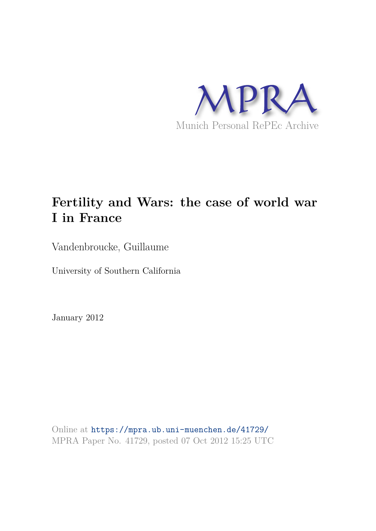

# **Fertility and Wars: the case of world war I in France**

Vandenbroucke, Guillaume

University of Southern California

January 2012

Online at https://mpra.ub.uni-muenchen.de/41729/ MPRA Paper No. 41729, posted 07 Oct 2012 15:25 UTC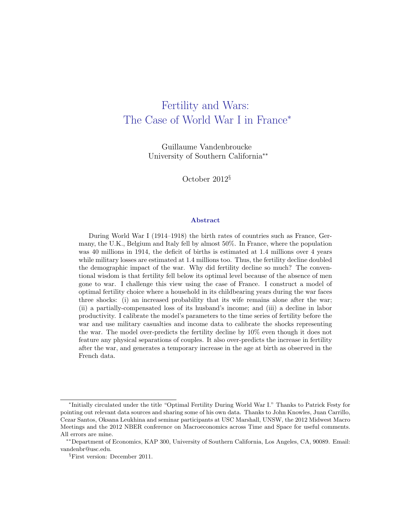# Fertility and Wars: The Case of World War I in France<sup>∗</sup>

Guillaume Vandenbroucke University of Southern California∗∗

October 2012§

#### Abstract

During World War I (1914–1918) the birth rates of countries such as France, Germany, the U.K., Belgium and Italy fell by almost 50%. In France, where the population was 40 millions in 1914, the deficit of births is estimated at 1.4 millions over 4 years while military losses are estimated at 1.4 millions too. Thus, the fertility decline doubled the demographic impact of the war. Why did fertility decline so much? The conventional wisdom is that fertility fell below its optimal level because of the absence of men gone to war. I challenge this view using the case of France. I construct a model of optimal fertility choice where a household in its childbearing years during the war faces three shocks: (i) an increased probability that its wife remains alone after the war; (ii) a partially-compensated loss of its husband's income; and (iii) a decline in labor productivity. I calibrate the model's parameters to the time series of fertility before the war and use military casualties and income data to calibrate the shocks representing the war. The model over-predicts the fertility decline by 10% even though it does not feature any physical separations of couples. It also over-predicts the increase in fertility after the war, and generates a temporary increase in the age at birth as observed in the French data.

<sup>∗</sup> Initially circulated under the title "Optimal Fertility During World War I." Thanks to Patrick Festy for pointing out relevant data sources and sharing some of his own data. Thanks to John Knowles, Juan Carrillo, Cezar Santos, Oksana Leukhina and seminar participants at USC Marshall, UNSW, the 2012 Midwest Macro Meetings and the 2012 NBER conference on Macroeconomics across Time and Space for useful comments. All errors are mine.

<sup>∗∗</sup>Department of Economics, KAP 300, University of Southern California, Los Angeles, CA, 90089. Email: vandenbr@usc.edu.

<sup>§</sup>First version: December 2011.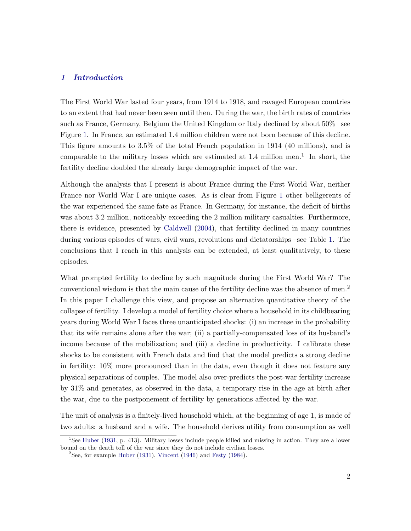#### 1 Introduction

The First World War lasted four years, from 1914 to 1918, and ravaged European countries to an extent that had never been seen until then. During the war, the birth rates of countries such as France, Germany, Belgium the United Kingdom or Italy declined by about 50% –see Figure 1. In France, an estimated 1.4 million children were not born because of this decline. This figure amounts to 3.5% of the total French population in 1914 (40 millions), and is comparable to the military losses which are estimated at  $1.4$  million men.<sup>1</sup> In short, the fertility decline doubled the already large demographic impact of the war.

Although the analysis that I present is about France during the First World War, neither France nor World War I are unique cases. As is clear from Figure 1 other belligerents of the war experienced the same fate as France. In Germany, for instance, the deficit of births was about 3.2 million, noticeably exceeding the 2 million military casualties. Furthermore, there is evidence, presented by Caldwell (2004), that fertility declined in many countries during various episodes of wars, civil wars, revolutions and dictatorships –see Table 1. The conclusions that I reach in this analysis can be extended, at least qualitatively, to these episodes.

What prompted fertility to decline by such magnitude during the First World War? The conventional wisdom is that the main cause of the fertility decline was the absence of men.<sup>2</sup> In this paper I challenge this view, and propose an alternative quantitative theory of the collapse of fertility. I develop a model of fertility choice where a household in its childbearing years during World War I faces three unanticipated shocks: (i) an increase in the probability that its wife remains alone after the war; (ii) a partially-compensated loss of its husband's income because of the mobilization; and (iii) a decline in productivity. I calibrate these shocks to be consistent with French data and find that the model predicts a strong decline in fertility: 10% more pronounced than in the data, even though it does not feature any physical separations of couples. The model also over-predicts the post-war fertility increase by 31% and generates, as observed in the data, a temporary rise in the age at birth after the war, due to the postponement of fertility by generations affected by the war.

The unit of analysis is a finitely-lived household which, at the beginning of age 1, is made of two adults: a husband and a wife. The household derives utility from consumption as well

<sup>&</sup>lt;sup>1</sup>See Huber (1931, p. 413). Military losses include people killed and missing in action. They are a lower bound on the death toll of the war since they do not include civilian losses.

<sup>&</sup>lt;sup>2</sup>See, for example Huber (1931), Vincent (1946) and Festy (1984).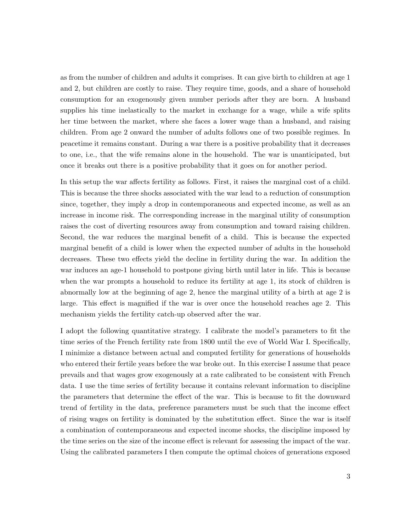as from the number of children and adults it comprises. It can give birth to children at age 1 and 2, but children are costly to raise. They require time, goods, and a share of household consumption for an exogenously given number periods after they are born. A husband supplies his time inelastically to the market in exchange for a wage, while a wife splits her time between the market, where she faces a lower wage than a husband, and raising children. From age 2 onward the number of adults follows one of two possible regimes. In peacetime it remains constant. During a war there is a positive probability that it decreases to one, i.e., that the wife remains alone in the household. The war is unanticipated, but once it breaks out there is a positive probability that it goes on for another period.

In this setup the war affects fertility as follows. First, it raises the marginal cost of a child. This is because the three shocks associated with the war lead to a reduction of consumption since, together, they imply a drop in contemporaneous and expected income, as well as an increase in income risk. The corresponding increase in the marginal utility of consumption raises the cost of diverting resources away from consumption and toward raising children. Second, the war reduces the marginal benefit of a child. This is because the expected marginal benefit of a child is lower when the expected number of adults in the household decreases. These two effects yield the decline in fertility during the war. In addition the war induces an age-1 household to postpone giving birth until later in life. This is because when the war prompts a household to reduce its fertility at age 1, its stock of children is abnormally low at the beginning of age 2, hence the marginal utility of a birth at age 2 is large. This effect is magnified if the war is over once the household reaches age 2. This mechanism yields the fertility catch-up observed after the war.

I adopt the following quantitative strategy. I calibrate the model's parameters to fit the time series of the French fertility rate from 1800 until the eve of World War I. Specifically, I minimize a distance between actual and computed fertility for generations of households who entered their fertile years before the war broke out. In this exercise I assume that peace prevails and that wages grow exogenously at a rate calibrated to be consistent with French data. I use the time series of fertility because it contains relevant information to discipline the parameters that determine the effect of the war. This is because to fit the downward trend of fertility in the data, preference parameters must be such that the income effect of rising wages on fertility is dominated by the substitution effect. Since the war is itself a combination of contemporaneous and expected income shocks, the discipline imposed by the time series on the size of the income effect is relevant for assessing the impact of the war. Using the calibrated parameters I then compute the optimal choices of generations exposed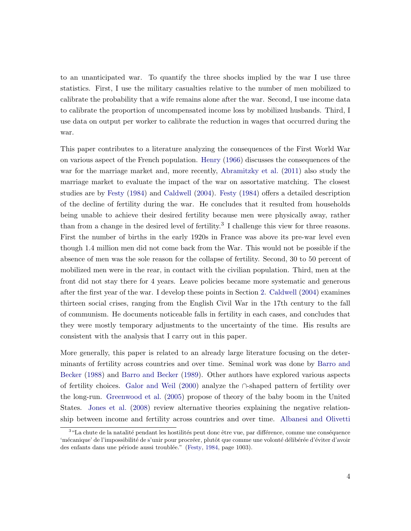to an unanticipated war. To quantify the three shocks implied by the war I use three statistics. First, I use the military casualties relative to the number of men mobilized to calibrate the probability that a wife remains alone after the war. Second, I use income data to calibrate the proportion of uncompensated income loss by mobilized husbands. Third, I use data on output per worker to calibrate the reduction in wages that occurred during the war.

This paper contributes to a literature analyzing the consequences of the First World War on various aspect of the French population. Henry (1966) discusses the consequences of the war for the marriage market and, more recently, Abramitzky et al. (2011) also study the marriage market to evaluate the impact of the war on assortative matching. The closest studies are by Festy (1984) and Caldwell (2004). Festy (1984) offers a detailed description of the decline of fertility during the war. He concludes that it resulted from households being unable to achieve their desired fertility because men were physically away, rather than from a change in the desired level of fertility.<sup>3</sup> I challenge this view for three reasons. First the number of births in the early 1920s in France was above its pre-war level even though 1.4 million men did not come back from the War. This would not be possible if the absence of men was the sole reason for the collapse of fertility. Second, 30 to 50 percent of mobilized men were in the rear, in contact with the civilian population. Third, men at the front did not stay there for 4 years. Leave policies became more systematic and generous after the first year of the war. I develop these points in Section 2. Caldwell (2004) examines thirteen social crises, ranging from the English Civil War in the 17th century to the fall of communism. He documents noticeable falls in fertility in each cases, and concludes that they were mostly temporary adjustments to the uncertainty of the time. His results are consistent with the analysis that I carry out in this paper.

More generally, this paper is related to an already large literature focusing on the determinants of fertility across countries and over time. Seminal work was done by Barro and Becker (1988) and Barro and Becker (1989). Other authors have explored various aspects of fertility choices. Galor and Weil (2000) analyze the ∩-shaped pattern of fertility over the long-run. Greenwood et al. (2005) propose of theory of the baby boom in the United States. Jones et al. (2008) review alternative theories explaining the negative relationship between income and fertility across countries and over time. Albanesi and Olivetti

 $3\text{ }\text{``La chute de la natalité pendant les hostilités peut donc être vue, par différence, comme une conséquence}$ 'mécanique' de l'impossibilité de s'unir pour procréer, plutôt que comme une volonté délibérée d'éviter d'avoir des enfants dans une période aussi troublée." (Festy, 1984, page 1003).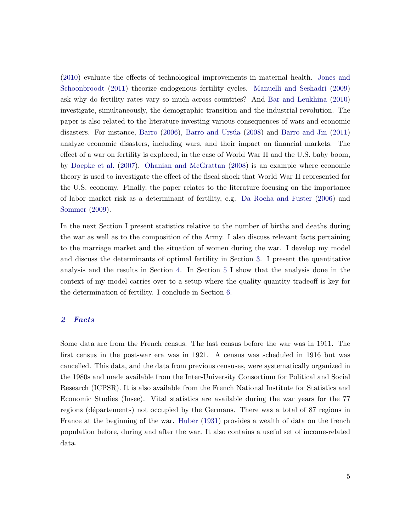(2010) evaluate the effects of technological improvements in maternal health. Jones and Schoonbroodt (2011) theorize endogenous fertility cycles. Manuelli and Seshadri (2009) ask why do fertility rates vary so much across countries? And Bar and Leukhina (2010) investigate, simultaneously, the demographic transition and the industrial revolution. The paper is also related to the literature investing various consequences of wars and economic disasters. For instance, Barro  $(2006)$ , Barro and Ursúa  $(2008)$  and Barro and Jin  $(2011)$ analyze economic disasters, including wars, and their impact on financial markets. The effect of a war on fertility is explored, in the case of World War II and the U.S. baby boom, by Doepke et al. (2007). Ohanian and McGrattan (2008) is an example where economic theory is used to investigate the effect of the fiscal shock that World War II represented for the U.S. economy. Finally, the paper relates to the literature focusing on the importance of labor market risk as a determinant of fertility, e.g. Da Rocha and Fuster (2006) and Sommer (2009).

In the next Section I present statistics relative to the number of births and deaths during the war as well as to the composition of the Army. I also discuss relevant facts pertaining to the marriage market and the situation of women during the war. I develop my model and discuss the determinants of optimal fertility in Section 3. I present the quantitative analysis and the results in Section 4. In Section 5 I show that the analysis done in the context of my model carries over to a setup where the quality-quantity tradeoff is key for the determination of fertility. I conclude in Section 6.

#### 2 Facts

Some data are from the French census. The last census before the war was in 1911. The first census in the post-war era was in 1921. A census was scheduled in 1916 but was cancelled. This data, and the data from previous censuses, were systematically organized in the 1980s and made available from the Inter-University Consortium for Political and Social Research (ICPSR). It is also available from the French National Institute for Statistics and Economic Studies (Insee). Vital statistics are available during the war years for the 77 regions (départements) not occupied by the Germans. There was a total of 87 regions in France at the beginning of the war. Huber (1931) provides a wealth of data on the french population before, during and after the war. It also contains a useful set of income-related data.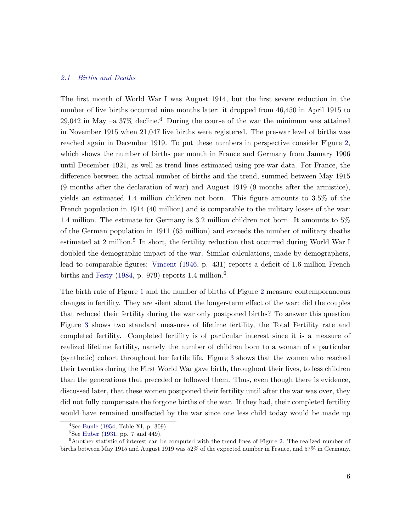#### *2.1 Births and Deaths*

The first month of World War I was August 1914, but the first severe reduction in the number of live births occurred nine months later: it dropped from 46,450 in April 1915 to 29,042 in May  $-a$  37% decline.<sup>4</sup> During the course of the war the minimum was attained in November 1915 when 21,047 live births were registered. The pre-war level of births was reached again in December 1919. To put these numbers in perspective consider Figure 2, which shows the number of births per month in France and Germany from January 1906 until December 1921, as well as trend lines estimated using pre-war data. For France, the difference between the actual number of births and the trend, summed between May 1915 (9 months after the declaration of war) and August 1919 (9 months after the armistice), yields an estimated 1.4 million children not born. This figure amounts to 3.5% of the French population in 1914 (40 million) and is comparable to the military losses of the war: 1.4 million. The estimate for Germany is 3.2 million children not born. It amounts to 5% of the German population in 1911 (65 million) and exceeds the number of military deaths estimated at 2 million.<sup>5</sup> In short, the fertility reduction that occurred during World War I doubled the demographic impact of the war. Similar calculations, made by demographers, lead to comparable figures: Vincent (1946, p. 431) reports a deficit of 1.6 million French births and Festy (1984, p. 979) reports 1.4 million.<sup>6</sup>

The birth rate of Figure 1 and the number of births of Figure 2 measure contemporaneous changes in fertility. They are silent about the longer-term effect of the war: did the couples that reduced their fertility during the war only postponed births? To answer this question Figure 3 shows two standard measures of lifetime fertility, the Total Fertility rate and completed fertility. Completed fertility is of particular interest since it is a measure of realized lifetime fertility, namely the number of children born to a woman of a particular (synthetic) cohort throughout her fertile life. Figure 3 shows that the women who reached their twenties during the First World War gave birth, throughout their lives, to less children than the generations that preceded or followed them. Thus, even though there is evidence, discussed later, that these women postponed their fertility until after the war was over, they did not fully compensate the forgone births of the war. If they had, their completed fertility would have remained unaffected by the war since one less child today would be made up

 $4$ See Bunle (1954, Table XI, p. 309).

 ${}^{5}$ See Huber (1931, pp. 7 and 449).

<sup>&</sup>lt;sup>6</sup>Another statistic of interest can be computed with the trend lines of Figure 2. The realized number of births between May 1915 and August 1919 was 52% of the expected number in France, and 57% in Germany.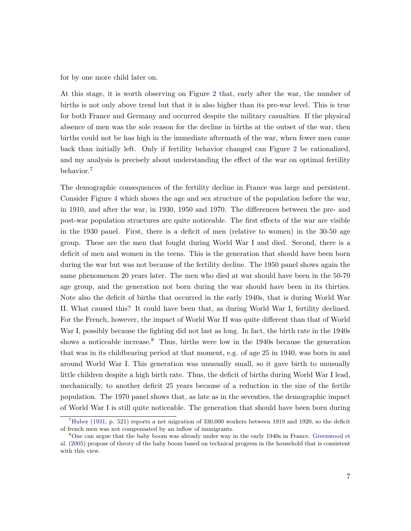for by one more child later on.

At this stage, it is worth observing on Figure 2 that, early after the war, the number of births is not only above trend but that it is also higher than its pre-war level. This is true for both France and Germany and occurred despite the military casualties. If the physical absence of men was the sole reason for the decline in births at the outset of the war, then births could not be has high in the immediate aftermath of the war, when fewer men came back than initially left. Only if fertility behavior changed can Figure 2 be rationalized, and my analysis is precisely about understanding the effect of the war on optimal fertility behavior.<sup>7</sup>

The demographic consequences of the fertility decline in France was large and persistent. Consider Figure 4 which shows the age and sex structure of the population before the war, in 1910, and after the war, in 1930, 1950 and 1970. The differences between the pre- and post-war population structures are quite noticeable. The first effects of the war are visible in the 1930 panel. First, there is a deficit of men (relative to women) in the 30-50 age group. These are the men that fought during World War I and died. Second, there is a deficit of men and women in the teens. This is the generation that should have been born during the war but was not because of the fertility decline. The 1950 panel shows again the same phenomenon 20 years later. The men who died at war should have been in the 50-70 age group, and the generation not born during the war should have been in its thirties. Note also the deficit of births that occurred in the early 1940s, that is during World War II. What caused this? It could have been that, as during World War I, fertility declined. For the French, however, the impact of World War II was quite different than that of World War I, possibly because the fighting did not last as long. In fact, the birth rate in the 1940s shows a noticeable increase.<sup>8</sup> Thus, births were low in the  $1940s$  because the generation that was in its childbearing period at that moment, e.g. of age 25 in 1940, was born in and around World War I. This generation was unusually small, so it gave birth to unusually little children despite a high birth rate. Thus, the deficit of births during World War I lead, mechanically, to another deficit 25 years because of a reduction in the size of the fertile population. The 1970 panel shows that, as late as in the seventies, the demographic impact of World War I is still quite noticeable. The generation that should have been born during

 $^7$ Huber (1931, p. 521) reports a net migration of 330,000 workers between 1919 and 1920, so the deficit of french men was not compensated by an inflow of immigrants.

<sup>&</sup>lt;sup>8</sup>One can argue that the baby boom was already under way in the early 1940s in France. Greenwood et al. (2005) propose of theory of the baby boom based on technical progress in the household that is consistent with this view.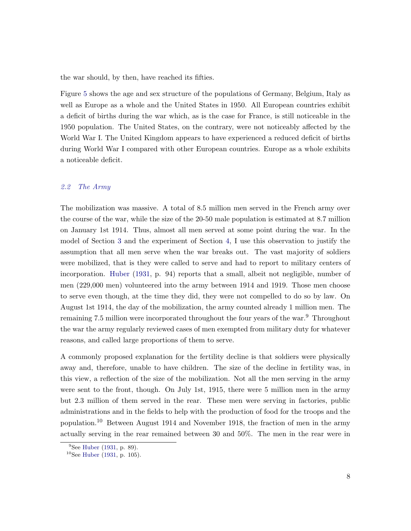the war should, by then, have reached its fifties.

Figure 5 shows the age and sex structure of the populations of Germany, Belgium, Italy as well as Europe as a whole and the United States in 1950. All European countries exhibit a deficit of births during the war which, as is the case for France, is still noticeable in the 1950 population. The United States, on the contrary, were not noticeably affected by the World War I. The United Kingdom appears to have experienced a reduced deficit of births during World War I compared with other European countries. Europe as a whole exhibits a noticeable deficit.

#### *2.2 The Army*

The mobilization was massive. A total of 8.5 million men served in the French army over the course of the war, while the size of the 20-50 male population is estimated at 8.7 million on January 1st 1914. Thus, almost all men served at some point during the war. In the model of Section 3 and the experiment of Section 4, I use this observation to justify the assumption that all men serve when the war breaks out. The vast majority of soldiers were mobilized, that is they were called to serve and had to report to military centers of incorporation. Huber (1931, p. 94) reports that a small, albeit not negligible, number of men (229,000 men) volunteered into the army between 1914 and 1919. Those men choose to serve even though, at the time they did, they were not compelled to do so by law. On August 1st 1914, the day of the mobilization, the army counted already 1 million men. The remaining 7.5 million were incorporated throughout the four years of the war.<sup>9</sup> Throughout the war the army regularly reviewed cases of men exempted from military duty for whatever reasons, and called large proportions of them to serve.

A commonly proposed explanation for the fertility decline is that soldiers were physically away and, therefore, unable to have children. The size of the decline in fertility was, in this view, a reflection of the size of the mobilization. Not all the men serving in the army were sent to the front, though. On July 1st, 1915, there were 5 million men in the army but 2.3 million of them served in the rear. These men were serving in factories, public administrations and in the fields to help with the production of food for the troops and the population.<sup>10</sup> Between August 1914 and November 1918, the fraction of men in the army actually serving in the rear remained between 30 and 50%. The men in the rear were in

 $^{9}$ See Huber (1931, p. 89).

 $10$ See Huber (1931, p. 105).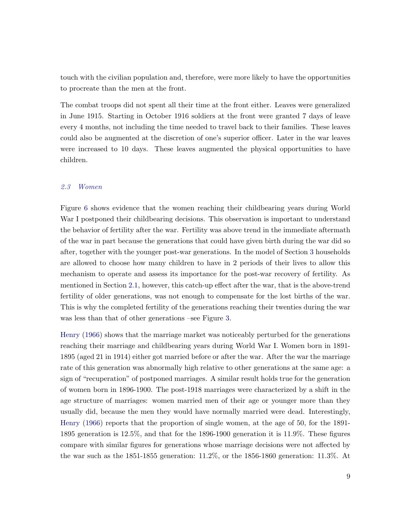touch with the civilian population and, therefore, were more likely to have the opportunities to procreate than the men at the front.

The combat troops did not spent all their time at the front either. Leaves were generalized in June 1915. Starting in October 1916 soldiers at the front were granted 7 days of leave every 4 months, not including the time needed to travel back to their families. These leaves could also be augmented at the discretion of one's superior officer. Later in the war leaves were increased to 10 days. These leaves augmented the physical opportunities to have children.

#### *2.3 Women*

Figure 6 shows evidence that the women reaching their childbearing years during World War I postponed their childbearing decisions. This observation is important to understand the behavior of fertility after the war. Fertility was above trend in the immediate aftermath of the war in part because the generations that could have given birth during the war did so after, together with the younger post-war generations. In the model of Section 3 households are allowed to choose how many children to have in 2 periods of their lives to allow this mechanism to operate and assess its importance for the post-war recovery of fertility. As mentioned in Section 2.1, however, this catch-up effect after the war, that is the above-trend fertility of older generations, was not enough to compensate for the lost births of the war. This is why the completed fertility of the generations reaching their twenties during the war was less than that of other generations –see Figure 3.

Henry (1966) shows that the marriage market was noticeably perturbed for the generations reaching their marriage and childbearing years during World War I. Women born in 1891- 1895 (aged 21 in 1914) either got married before or after the war. After the war the marriage rate of this generation was abnormally high relative to other generations at the same age: a sign of "recuperation" of postponed marriages. A similar result holds true for the generation of women born in 1896-1900. The post-1918 marriages were characterized by a shift in the age structure of marriages: women married men of their age or younger more than they usually did, because the men they would have normally married were dead. Interestingly, Henry (1966) reports that the proportion of single women, at the age of 50, for the 1891- 1895 generation is 12.5%, and that for the 1896-1900 generation it is 11.9%. These figures compare with similar figures for generations whose marriage decisions were not affected by the war such as the 1851-1855 generation: 11.2%, or the 1856-1860 generation: 11.3%. At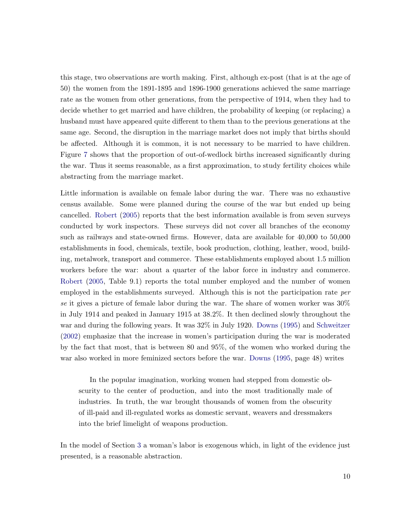this stage, two observations are worth making. First, although ex-post (that is at the age of 50) the women from the 1891-1895 and 1896-1900 generations achieved the same marriage rate as the women from other generations, from the perspective of 1914, when they had to decide whether to get married and have children, the probability of keeping (or replacing) a husband must have appeared quite different to them than to the previous generations at the same age. Second, the disruption in the marriage market does not imply that births should be affected. Although it is common, it is not necessary to be married to have children. Figure 7 shows that the proportion of out-of-wedlock births increased significantly during the war. Thus it seems reasonable, as a first approximation, to study fertility choices while abstracting from the marriage market.

Little information is available on female labor during the war. There was no exhaustive census available. Some were planned during the course of the war but ended up being cancelled. Robert (2005) reports that the best information available is from seven surveys conducted by work inspectors. These surveys did not cover all branches of the economy such as railways and state-owned firms. However, data are available for 40,000 to 50,000 establishments in food, chemicals, textile, book production, clothing, leather, wood, building, metalwork, transport and commerce. These establishments employed about 1.5 million workers before the war: about a quarter of the labor force in industry and commerce. Robert (2005, Table 9.1) reports the total number employed and the number of women employed in the establishments surveyed. Although this is not the participation rate *per se* it gives a picture of female labor during the war. The share of women worker was 30% in July 1914 and peaked in January 1915 at 38.2%. It then declined slowly throughout the war and during the following years. It was 32% in July 1920. Downs (1995) and Schweitzer (2002) emphasize that the increase in women's participation during the war is moderated by the fact that most, that is between 80 and 95%, of the women who worked during the war also worked in more feminized sectors before the war. Downs (1995, page 48) writes

In the popular imagination, working women had stepped from domestic obscurity to the center of production, and into the most traditionally male of industries. In truth, the war brought thousands of women from the obscurity of ill-paid and ill-regulated works as domestic servant, weavers and dressmakers into the brief limelight of weapons production.

In the model of Section 3 a woman's labor is exogenous which, in light of the evidence just presented, is a reasonable abstraction.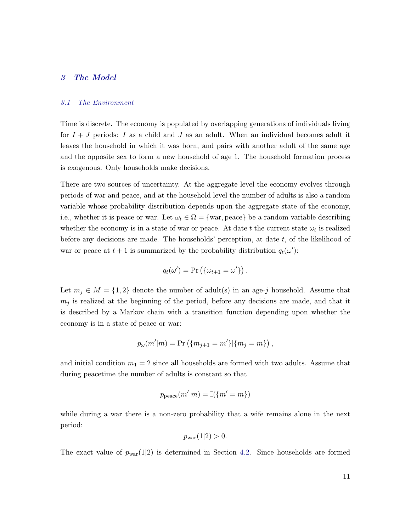#### 3 The Model

#### *3.1 The Environment*

Time is discrete. The economy is populated by overlapping generations of individuals living for  $I + J$  periods: I as a child and J as an adult. When an individual becomes adult it leaves the household in which it was born, and pairs with another adult of the same age and the opposite sex to form a new household of age 1. The household formation process is exogenous. Only households make decisions.

There are two sources of uncertainty. At the aggregate level the economy evolves through periods of war and peace, and at the household level the number of adults is also a random variable whose probability distribution depends upon the aggregate state of the economy, i.e., whether it is peace or war. Let  $\omega_t \in \Omega = \{\text{war}, \text{peace}\}\$  be a random variable describing whether the economy is in a state of war or peace. At date t the current state  $\omega_t$  is realized before any decisions are made. The households' perception, at date  $t$ , of the likelihood of war or peace at  $t + 1$  is summarized by the probability distribution  $q_t(\omega')$ :

$$
q_t(\omega') = \Pr\left(\{\omega_{t+1} = \omega'\}\right).
$$

Let  $m_j \in M = \{1,2\}$  denote the number of adult(s) in an age-j household. Assume that  $m_j$  is realized at the beginning of the period, before any decisions are made, and that it is described by a Markov chain with a transition function depending upon whether the economy is in a state of peace or war:

$$
p_{\omega}(m'|m) = \Pr\left(\{m_{j+1} = m'\}|\{m_j = m\}\right),\,
$$

and initial condition  $m_1 = 2$  since all households are formed with two adults. Assume that during peacetime the number of adults is constant so that

$$
p_{\text{peace}}(m'|m) = \mathbb{I}(\{m'=m\})
$$

while during a war there is a non-zero probability that a wife remains alone in the next period:

$$
p_{\text{war}}(1|2) > 0.
$$

The exact value of  $p_{\text{war}}(1|2)$  is determined in Section 4.2. Since households are formed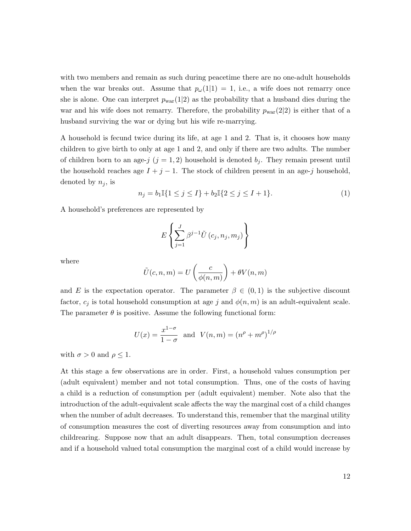with two members and remain as such during peacetime there are no one-adult households when the war breaks out. Assume that  $p_{\omega}(1|1) = 1$ , i.e., a wife does not remarry once she is alone. One can interpret  $p_{\text{war}}(1|2)$  as the probability that a husband dies during the war and his wife does not remarry. Therefore, the probability  $p_{\text{war}}(2|2)$  is either that of a husband surviving the war or dying but his wife re-marrying.

A household is fecund twice during its life, at age 1 and 2. That is, it chooses how many children to give birth to only at age 1 and 2, and only if there are two adults. The number of children born to an age-j  $(j = 1, 2)$  household is denoted  $b_j$ . They remain present until the household reaches age  $I + j - 1$ . The stock of children present in an age-j household, denoted by  $n_j$ , is

$$
n_j = b_1 \mathbb{I}\{1 \le j \le I\} + b_2 \mathbb{I}\{2 \le j \le I+1\}.
$$
\n(1)

A household's preferences are represented by

$$
E\left\{\sum_{j=1}^{J}\beta^{j-1}\tilde{U}\left(c_j,n_j,m_j\right)\right\}
$$

where

$$
\tilde{U}(c,n,m) = U\left(\frac{c}{\phi(n,m)}\right) + \theta V(n,m)
$$

and E is the expectation operator. The parameter  $\beta \in (0,1)$  is the subjective discount factor,  $c_j$  is total household consumption at age j and  $\phi(n,m)$  is an adult-equivalent scale. The parameter  $\theta$  is positive. Assume the following functional form:

$$
U(x) = \frac{x^{1-\sigma}}{1-\sigma}
$$
 and  $V(n,m) = (n^{\rho} + m^{\rho})^{1/\rho}$ 

with  $\sigma > 0$  and  $\rho \leq 1$ .

At this stage a few observations are in order. First, a household values consumption per (adult equivalent) member and not total consumption. Thus, one of the costs of having a child is a reduction of consumption per (adult equivalent) member. Note also that the introduction of the adult-equivalent scale affects the way the marginal cost of a child changes when the number of adult decreases. To understand this, remember that the marginal utility of consumption measures the cost of diverting resources away from consumption and into childrearing. Suppose now that an adult disappears. Then, total consumption decreases and if a household valued total consumption the marginal cost of a child would increase by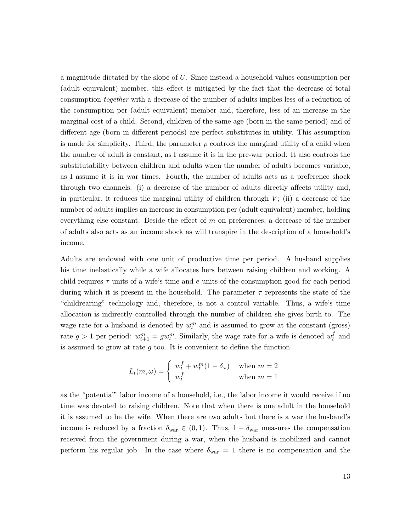a magnitude dictated by the slope of U. Since instead a household values consumption per (adult equivalent) member, this effect is mitigated by the fact that the decrease of total consumption *together* with a decrease of the number of adults implies less of a reduction of the consumption per (adult equivalent) member and, therefore, less of an increase in the marginal cost of a child. Second, children of the same age (born in the same period) and of different age (born in different periods) are perfect substitutes in utility. This assumption is made for simplicity. Third, the parameter  $\rho$  controls the marginal utility of a child when the number of adult is constant, as I assume it is in the pre-war period. It also controls the substitutability between children and adults when the number of adults becomes variable, as I assume it is in war times. Fourth, the number of adults acts as a preference shock through two channels: (i) a decrease of the number of adults directly affects utility and, in particular, it reduces the marginal utility of children through  $V$ ; (ii) a decrease of the number of adults implies an increase in consumption per (adult equivalent) member, holding everything else constant. Beside the effect of  $m$  on preferences, a decrease of the number of adults also acts as an income shock as will transpire in the description of a household's income.

Adults are endowed with one unit of productive time per period. A husband supplies his time inelastically while a wife allocates hers between raising children and working. A child requires  $\tau$  units of a wife's time and e units of the consumption good for each period during which it is present in the household. The parameter  $\tau$  represents the state of the "childrearing" technology and, therefore, is not a control variable. Thus, a wife's time allocation is indirectly controlled through the number of children she gives birth to. The wage rate for a husband is denoted by  $w_t^m$  and is assumed to grow at the constant (gross) rate  $g > 1$  per period:  $w_{t+1}^m = gw_t^m$ . Similarly, the wage rate for a wife is denoted  $w_t^f$  $_t^{\prime}$  and is assumed to grow at rate  $q$  too. It is convenient to define the function

$$
L_t(m,\omega) = \begin{cases} w_t^f + w_t^m (1 - \delta_\omega) & \text{when } m = 2\\ w_t^f & \text{when } m = 1 \end{cases}
$$

as the "potential" labor income of a household, i.e., the labor income it would receive if no time was devoted to raising children. Note that when there is one adult in the household it is assumed to be the wife. When there are two adults but there is a war the husband's income is reduced by a fraction  $\delta_{\text{war}} \in (0, 1)$ . Thus,  $1 - \delta_{\text{war}}$  measures the compensation received from the government during a war, when the husband is mobilized and cannot perform his regular job. In the case where  $\delta_{\text{war}} = 1$  there is no compensation and the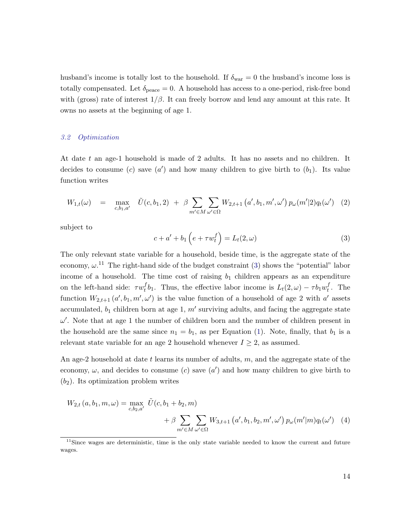husband's income is totally lost to the household. If  $\delta_{\text{war}} = 0$  the husband's income loss is totally compensated. Let  $\delta_{\text{peace}} = 0$ . A household has access to a one-period, risk-free bond with (gross) rate of interest  $1/\beta$ . It can freely borrow and lend any amount at this rate. It owns no assets at the beginning of age 1.

#### *3.2 Optimization*

At date t an age-1 household is made of 2 adults. It has no assets and no children. It decides to consume (c) save  $(a')$  and how many children to give birth to  $(b_1)$ . Its value function writes

$$
W_{1,t}(\omega) = \max_{c,b_1,a'} \tilde{U}(c,b_1,2) + \beta \sum_{m' \in M} \sum_{\omega' \in \Omega} W_{2,t+1}(a',b_1,m',\omega') p_{\omega}(m'|2) q_t(\omega') \quad (2)
$$

subject to

$$
c + a' + b_1 \left( e + \tau w_t^f \right) = L_t(2, \omega) \tag{3}
$$

The only relevant state variable for a household, beside time, is the aggregate state of the economy,  $\omega$ <sup>11</sup>. The right-hand side of the budget constraint (3) shows the "potential" labor income of a household. The time cost of raising  $b_1$  children appears as an expenditure on the left-hand side:  $\tau w_t^f$  ${}_{t}^{f}b_1$ . Thus, the effective labor income is  $L_t(2, \omega) - \tau b_1 w_t^f$  $_t^J$ . The function  $W_{2,t+1}(a',b_1,m',\omega')$  is the value function of a household of age 2 with a' assets accumulated,  $b_1$  children born at age 1,  $m'$  surviving adults, and facing the aggregate state  $\omega'$ . Note that at age 1 the number of children born and the number of children present in the household are the same since  $n_1 = b_1$ , as per Equation (1). Note, finally, that  $b_1$  is a relevant state variable for an age 2 household whenever  $I \geq 2$ , as assumed.

An age-2 household at date t learns its number of adults,  $m$ , and the aggregate state of the economy,  $\omega$ , and decides to consume (c) save (a') and how many children to give birth to  $(b_2)$ . Its optimization problem writes

$$
W_{2,t}(a, b_1, m, \omega) = \max_{c, b_2, a'} \tilde{U}(c, b_1 + b_2, m)
$$
  
+  $\beta \sum_{m' \in M} \sum_{\omega' \in \Omega} W_{3,t+1}(a', b_1, b_2, m', \omega') p_{\omega}(m'|m) q_t(\omega')$  (4)

 $11$ Since wages are deterministic, time is the only state variable needed to know the current and future wages.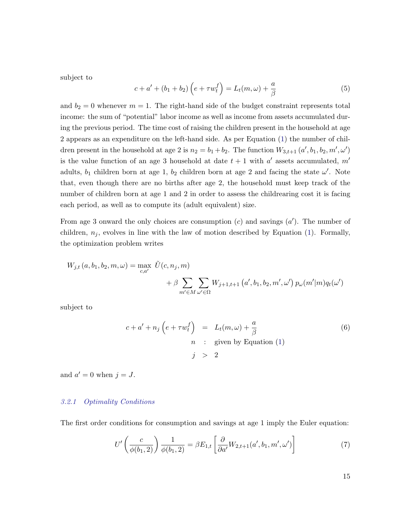subject to

$$
c + a' + (b_1 + b_2) \left( e + \tau w_t^f \right) = L_t(m, \omega) + \frac{a}{\beta} \tag{5}
$$

and  $b_2 = 0$  whenever  $m = 1$ . The right-hand side of the budget constraint represents total income: the sum of "potential" labor income as well as income from assets accumulated during the previous period. The time cost of raising the children present in the household at age 2 appears as an expenditure on the left-hand side. As per Equation (1) the number of children present in the household at age 2 is  $n_2 = b_1 + b_2$ . The function  $W_{3,t+1} (a', b_1, b_2, m', \omega')$ is the value function of an age 3 household at date  $t + 1$  with a' assets accumulated, m' adults,  $b_1$  children born at age 1,  $b_2$  children born at age 2 and facing the state  $\omega'$ . Note that, even though there are no births after age 2, the household must keep track of the number of children born at age 1 and 2 in order to assess the childrearing cost it is facing each period, as well as to compute its (adult equivalent) size.

From age 3 onward the only choices are consumption  $(c)$  and savings  $(a')$ . The number of children,  $n_j$ , evolves in line with the law of motion described by Equation (1). Formally, the optimization problem writes

$$
W_{j,t}(a, b_1, b_2, m, \omega) = \max_{c, a'} \tilde{U}(c, n_j, m)
$$
  
+  $\beta \sum_{m' \in M} \sum_{\omega' \in \Omega} W_{j+1,t+1}(a', b_1, b_2, m', \omega') p_{\omega}(m'|m) q_t(\omega')$ 

subject to

$$
c + a' + n_j \left( e + \tau w_t^f \right) = L_t(m, \omega) + \frac{a}{\beta}
$$
  
\n*n* : given by Equation (1)  
\n*j* > 2

and  $a' = 0$  when  $j = J$ .

#### *3.2.1 Optimality Conditions*

The first order conditions for consumption and savings at age 1 imply the Euler equation:

$$
U'\left(\frac{c}{\phi(b_1,2)}\right)\frac{1}{\phi(b_1,2)} = \beta E_{1,t}\left[\frac{\partial}{\partial a'}W_{2,t+1}(a',b_1,m',\omega')\right]
$$
(7)

15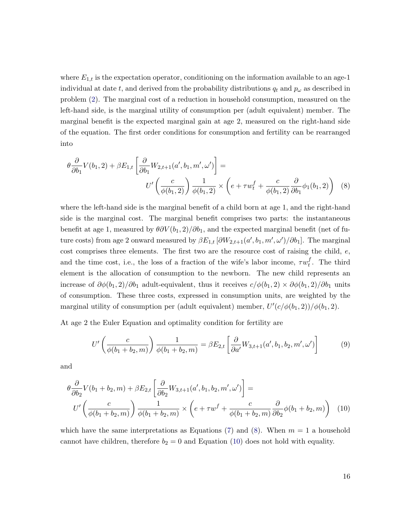where  $E_{1,t}$  is the expectation operator, conditioning on the information available to an age-1 individual at date t, and derived from the probability distributions  $q_t$  and  $p_\omega$  as described in problem (2). The marginal cost of a reduction in household consumption, measured on the left-hand side, is the marginal utility of consumption per (adult equivalent) member. The marginal benefit is the expected marginal gain at age 2, measured on the right-hand side of the equation. The first order conditions for consumption and fertility can be rearranged into

$$
\theta \frac{\partial}{\partial b_1} V(b_1, 2) + \beta E_{1,t} \left[ \frac{\partial}{\partial b_1} W_{2,t+1}(a', b_1, m', \omega') \right] =
$$
\n
$$
U' \left( \frac{c}{\phi(b_1, 2)} \right) \frac{1}{\phi(b_1, 2)} \times \left( e + \tau w_t^f + \frac{c}{\phi(b_1, 2)} \frac{\partial}{\partial b_1} \phi_1(b_1, 2) \right) \tag{8}
$$

where the left-hand side is the marginal benefit of a child born at age 1, and the right-hand side is the marginal cost. The marginal benefit comprises two parts: the instantaneous benefit at age 1, measured by  $\theta \partial V(b_1, 2)/\partial b_1$ , and the expected marginal benefit (net of future costs) from age 2 onward measured by  $\beta E_{1,t} [\partial W_{2,t+1}(a', b_1, m', \omega')/\partial b_1]$ . The marginal cost comprises three elements. The first two are the resource cost of raising the child, e, and the time cost, i.e., the loss of a fraction of the wife's labor income,  $\tau w_t^f$  $t<sub>t</sub>$ . The third element is the allocation of consumption to the newborn. The new child represents an increase of  $\partial \phi(b_1, 2)/\partial b_1$  adult-equivalent, thus it receives  $c/\phi(b_1, 2) \times \partial \phi(b_1, 2)/\partial b_1$  units of consumption. These three costs, expressed in consumption units, are weighted by the marginal utility of consumption per (adult equivalent) member,  $U'(c/\phi(b_1, 2))/\phi(b_1, 2)$ .

At age 2 the Euler Equation and optimality condition for fertility are

$$
U'\left(\frac{c}{\phi(b_1+b_2,m)}\right)\frac{1}{\phi(b_1+b_2,m)} = \beta E_{2,t}\left[\frac{\partial}{\partial a'}W_{3,t+1}(a',b_1,b_2,m',\omega')\right]
$$
(9)

and

$$
\theta \frac{\partial}{\partial b_2} V(b_1 + b_2, m) + \beta E_{2,t} \left[ \frac{\partial}{\partial b_2} W_{3,t+1}(a', b_1, b_2, m', \omega') \right] =
$$
  

$$
U' \left( \frac{c}{\phi(b_1 + b_2, m)} \right) \frac{1}{\phi(b_1 + b_2, m)} \times \left( e + \tau w^f + \frac{c}{\phi(b_1 + b_2, m)} \frac{\partial}{\partial b_2} \phi(b_1 + b_2, m) \right) \tag{10}
$$

which have the same interpretations as Equations (7) and (8). When  $m = 1$  a household cannot have children, therefore  $b_2 = 0$  and Equation (10) does not hold with equality.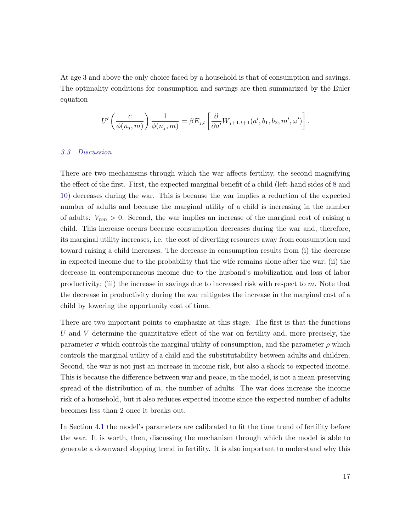At age 3 and above the only choice faced by a household is that of consumption and savings. The optimality conditions for consumption and savings are then summarized by the Euler equation

$$
U'\left(\frac{c}{\phi(n_j,m)}\right)\frac{1}{\phi(n_j,m)} = \beta E_{j,t}\left[\frac{\partial}{\partial a'}W_{j+1,t+1}(a',b_1,b_2,m',\omega')\right].
$$

#### *3.3 Discussion*

There are two mechanisms through which the war affects fertility, the second magnifying the effect of the first. First, the expected marginal benefit of a child (left-hand sides of 8 and 10) decreases during the war. This is because the war implies a reduction of the expected number of adults and because the marginal utility of a child is increasing in the number of adults:  $V_{nm} > 0$ . Second, the war implies an increase of the marginal cost of raising a child. This increase occurs because consumption decreases during the war and, therefore, its marginal utility increases, i.e. the cost of diverting resources away from consumption and toward raising a child increases. The decrease in consumption results from (i) the decrease in expected income due to the probability that the wife remains alone after the war; (ii) the decrease in contemporaneous income due to the husband's mobilization and loss of labor productivity; (iii) the increase in savings due to increased risk with respect to  $m$ . Note that the decrease in productivity during the war mitigates the increase in the marginal cost of a child by lowering the opportunity cost of time.

There are two important points to emphasize at this stage. The first is that the functions U and V determine the quantitative effect of the war on fertility and, more precisely, the parameter  $\sigma$  which controls the marginal utility of consumption, and the parameter  $\rho$  which controls the marginal utility of a child and the substitutability between adults and children. Second, the war is not just an increase in income risk, but also a shock to expected income. This is because the difference between war and peace, in the model, is not a mean-preserving spread of the distribution of  $m$ , the number of adults. The war does increase the income risk of a household, but it also reduces expected income since the expected number of adults becomes less than 2 once it breaks out.

In Section 4.1 the model's parameters are calibrated to fit the time trend of fertility before the war. It is worth, then, discussing the mechanism through which the model is able to generate a downward slopping trend in fertility. It is also important to understand why this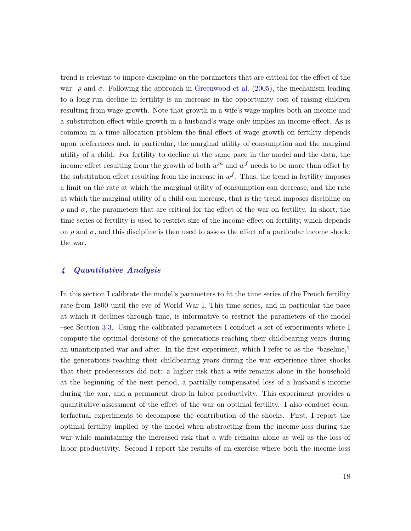trend is relevant to impose discipline on the parameters that are critical for the effect of the war:  $\rho$  and  $\sigma$ . Following the approach in Greenwood et al. (2005), the mechanism leading to a long-run decline in fertility is an increase in the opportunity cost of raising children resulting from wage growth. Note that growth in a wife's wage implies both an income and a substitution effect while growth in a husband's wage only implies an income effect. As is common in a time allocation problem the final effect of wage growth on fertility depends upon preferences and, in particular, the marginal utility of consumption and the marginal utility of a child. For fertility to decline at the same pace in the model and the data, the income effect resulting from the growth of both  $w^m$  and  $w^f$  needs to be more than offset by the substitution effect resulting from the increase in  $w<sup>f</sup>$ . Thus, the trend in fertility imposes a limit on the rate at which the marginal utility of consumption can decrease, and the rate at which the marginal utility of a child can increase, that is the trend imposes discipline on  $ρ$  and  $σ$ , the parameters that are critical for the effect of the war on fertility. In short, the time series of fertility is used to restrict size of the income effect on fertility, which depends on  $\rho$  and  $\sigma$ , and this discipline is then used to assess the effect of a particular income shock: the war.

#### 4 Quantitative Analysis

In this section I calibrate the model's parameters to fit the time series of the French fertility rate from 1800 until the eve of World War I. This time series, and in particular the pace at which it declines through time, is informative to restrict the parameters of the model –see Section 3.3. Using the calibrated parameters I conduct a set of experiments where I compute the optimal decisions of the generations reaching their childbearing years during an unanticipated war and after. In the first experiment, which I refer to as the "baseline," the generations reaching their childbearing years during the war experience three shocks that their predecessors did not: a higher risk that a wife remains alone in the household at the beginning of the next period, a partially-compensated loss of a husband's income during the war, and a permanent drop in labor productivity. This experiment provides a quantitative assessment of the effect of the war on optimal fertility. I also conduct counterfactual experiments to decompose the contribution of the shocks. First, I report the optimal fertility implied by the model when abstracting from the income loss during the war while maintaining the increased risk that a wife remains alone as well as the loss of labor productivity. Second I report the results of an exercise where both the income loss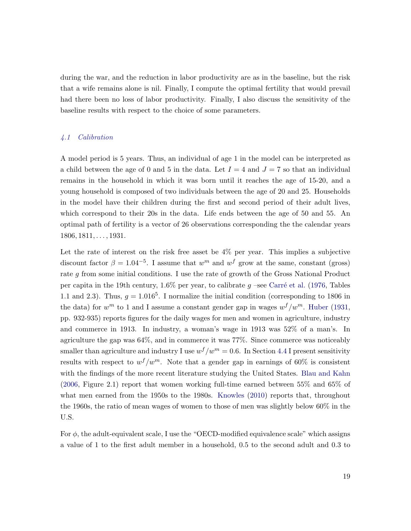during the war, and the reduction in labor productivity are as in the baseline, but the risk that a wife remains alone is nil. Finally, I compute the optimal fertility that would prevail had there been no loss of labor productivity. Finally, I also discuss the sensitivity of the baseline results with respect to the choice of some parameters.

#### *4.1 Calibration*

A model period is 5 years. Thus, an individual of age 1 in the model can be interpreted as a child between the age of 0 and 5 in the data. Let  $I = 4$  and  $J = 7$  so that an individual remains in the household in which it was born until it reaches the age of 15-20, and a young household is composed of two individuals between the age of 20 and 25. Households in the model have their children during the first and second period of their adult lives, which correspond to their 20s in the data. Life ends between the age of 50 and 55. An optimal path of fertility is a vector of 26 observations corresponding the the calendar years  $1806, 1811, \ldots, 1931.$ 

Let the rate of interest on the risk free asset be 4% per year. This implies a subjective discount factor  $\beta = 1.04^{-5}$ . I assume that  $w^m$  and  $w^f$  grow at the same, constant (gross) rate g from some initial conditions. I use the rate of growth of the Gross National Product per capita in the 19th century,  $1.6\%$  per year, to calibrate g –see Carré et al. (1976, Tables 1.1 and 2.3). Thus,  $g = 1.016<sup>5</sup>$ . I normalize the initial condition (corresponding to 1806 in the data) for  $w^m$  to 1 and I assume a constant gender gap in wages  $w^f/w^m$ . Huber (1931, pp. 932-935) reports figures for the daily wages for men and women in agriculture, industry and commerce in 1913. In industry, a woman's wage in 1913 was 52% of a man's. In agriculture the gap was 64%, and in commerce it was 77%. Since commerce was noticeably smaller than agriculture and industry I use  $w^f/w^m = 0.6$ . In Section 4.4 I present sensitivity results with respect to  $w^f/w^m$ . Note that a gender gap in earnings of 60% is consistent with the findings of the more recent literature studying the United States. Blau and Kahn (2006, Figure 2.1) report that women working full-time earned between 55% and 65% of what men earned from the 1950s to the 1980s. Knowles (2010) reports that, throughout the 1960s, the ratio of mean wages of women to those of men was slightly below 60% in the U.S.

For  $\phi$ , the adult-equivalent scale, I use the "OECD-modified equivalence scale" which assigns a value of 1 to the first adult member in a household, 0.5 to the second adult and 0.3 to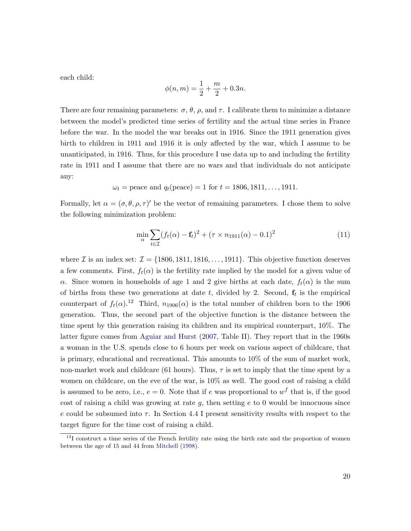each child:

$$
\phi(n,m) = \frac{1}{2} + \frac{m}{2} + 0.3n.
$$

There are four remaining parameters:  $\sigma$ ,  $\theta$ ,  $\rho$ , and  $\tau$ . I calibrate them to minimize a distance between the model's predicted time series of fertility and the actual time series in France before the war. In the model the war breaks out in 1916. Since the 1911 generation gives birth to children in 1911 and 1916 it is only affected by the war, which I assume to be unanticipated, in 1916. Thus, for this procedure I use data up to and including the fertility rate in 1911 and I assume that there are no wars and that individuals do not anticipate any:

$$
\omega_t
$$
 = peace and  $q_t$ (peace) = 1 for  $t$  = 1806, 1811,..., 1911.

Formally, let  $\alpha = (\sigma, \theta, \rho, \tau)'$  be the vector of remaining parameters. I chose them to solve the following minimization problem:

$$
\min_{\alpha} \sum_{t \in \mathcal{I}} (f_t(\alpha) - \mathbf{f}_t)^2 + (\tau \times n_{1911}(\alpha) - 0.1)^2
$$
\n(11)

where I is an index set:  $\mathcal{I} = \{1806, 1811, 1816, \ldots, 1911\}$ . This objective function deserves a few comments. First,  $f_t(\alpha)$  is the fertility rate implied by the model for a given value of α. Since women in households of age 1 and 2 give births at each date,  $f_t(α)$  is the sum of births from these two generations at date  $t$ , divided by 2. Second,  $f_t$  is the empirical counterpart of  $f_t(\alpha)$ .<sup>12</sup> Third,  $n_{1906}(\alpha)$  is the total number of children born to the 1906 generation. Thus, the second part of the objective function is the distance between the time spent by this generation raising its children and its empirical counterpart, 10%. The latter figure comes from Aguiar and Hurst (2007, Table II). They report that in the 1960s a woman in the U.S. spends close to 6 hours per week on various aspect of childcare, that is primary, educational and recreational. This amounts to 10% of the sum of market work, non-market work and childcare (61 hours). Thus,  $\tau$  is set to imply that the time spent by a women on childcare, on the eve of the war, is 10% as well. The good cost of raising a child is assumed to be zero, i.e.,  $e = 0$ . Note that if e was proportional to  $w<sup>f</sup>$  that is, if the good cost of raising a child was growing at rate q, then setting  $e$  to 0 would be innocuous since e could be subsumed into  $\tau$ . In Section 4.4 I present sensitivity results with respect to the target figure for the time cost of raising a child.

<sup>&</sup>lt;sup>12</sup>I construct a time series of the French fertility rate using the birth rate and the proportion of women between the age of 15 and 44 from Mitchell (1998).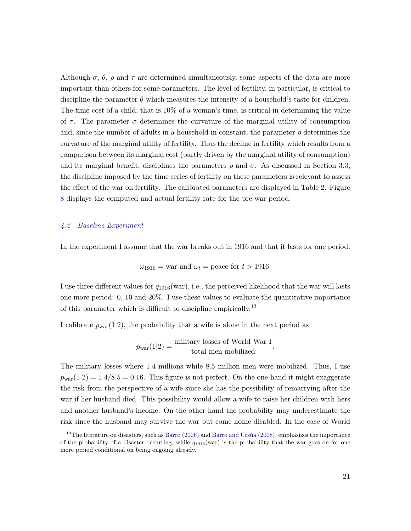Although  $\sigma$ ,  $\theta$ ,  $\rho$  and  $\tau$  are determined simultaneously, some aspects of the data are more important than others for some parameters. The level of fertility, in particular, is critical to discipline the parameter  $\theta$  which measures the intensity of a household's taste for children. The time cost of a child, that is 10% of a woman's time, is critical in determining the value of  $\tau$ . The parameter  $\sigma$  determines the curvature of the marginal utility of consumption and, since the number of adults in a household in constant, the parameter  $\rho$  determines the curvature of the marginal utility of fertility. Thus the decline in fertility which results from a comparison between its marginal cost (partly driven by the marginal utility of consumption) and its marginal benefit, disciplines the parameters  $\rho$  and  $\sigma$ . As discussed in Section 3.3, the discipline imposed by the time series of fertility on these parameters is relevant to assess the effect of the war on fertility. The calibrated parameters are displayed in Table 2. Figure 8 displays the computed and actual fertility rate for the pre-war period.

#### *4.2 Baseline Experiment*

In the experiment I assume that the war breaks out in 1916 and that it lasts for one period:

$$
\omega_{1916} = \text{war and } \omega_t = \text{peace for } t > 1916.
$$

I use three different values for  $q_{1916}(\text{war})$ , i.e., the perceived likelihood that the war will lasts one more period: 0, 10 and 20%. I use these values to evaluate the quantitative importance of this parameter which is difficult to discipline empirically.<sup>13</sup>

I calibrate  $p_{\text{war}}(1|2)$ , the probability that a wife is alone in the next period as

$$
p_{\text{war}}(1|2) = \frac{\text{military losses of World War I}}{\text{total men mobilized}}.
$$

The military losses where 1.4 millions while 8.5 million men were mobilized. Thus, I use  $p_{\text{war}}(1|2) = 1.4/8.5 = 0.16$ . This figure is not perfect. On the one hand it might exaggerate the risk from the perspective of a wife since she has the possibility of remarrying after the war if her husband died. This possibility would allow a wife to raise her children with hers and another husband's income. On the other hand the probability may underestimate the risk since the husband may survive the war but come home disabled. In the case of World

 $13$ The literature on disasters, such as Barro (2006) and Barro and Ursúa (2008), emphasizes the importance of the probability of a disaster occurring, while  $q_{1916}$ (war) is the probability that the war goes on for one more period conditional on being ongoing already.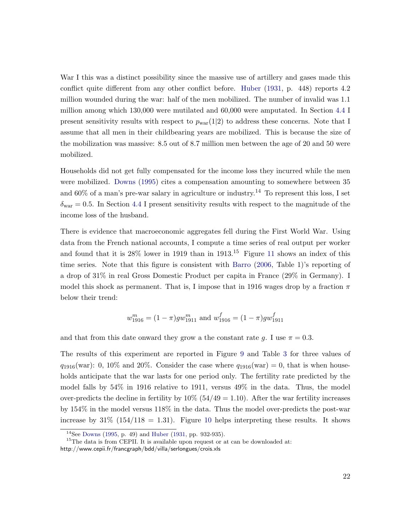War I this was a distinct possibility since the massive use of artillery and gases made this conflict quite different from any other conflict before. Huber (1931, p. 448) reports 4.2 million wounded during the war: half of the men mobilized. The number of invalid was 1.1 million among which 130,000 were mutilated and 60,000 were amputated. In Section 4.4 I present sensitivity results with respect to  $p_{\text{war}}(1|2)$  to address these concerns. Note that I assume that all men in their childbearing years are mobilized. This is because the size of the mobilization was massive: 8.5 out of 8.7 million men between the age of 20 and 50 were mobilized.

Households did not get fully compensated for the income loss they incurred while the men were mobilized. Downs (1995) cites a compensation amounting to somewhere between 35 and  $60\%$  of a man's pre-war salary in agriculture or industry.<sup>14</sup> To represent this loss, I set  $\delta_{\text{war}} = 0.5$ . In Section 4.4 I present sensitivity results with respect to the magnitude of the income loss of the husband.

There is evidence that macroeconomic aggregates fell during the First World War. Using data from the French national accounts, I compute a time series of real output per worker and found that it is  $28\%$  lower in 1919 than in 1913.<sup>15</sup> Figure 11 shows an index of this time series. Note that this figure is consistent with Barro (2006, Table 1)'s reporting of a drop of 31% in real Gross Domestic Product per capita in France (29% in Germany). I model this shock as permanent. That is, I impose that in 1916 wages drop by a fraction  $\pi$ below their trend:

$$
w_{1916}^m = (1 - \pi)gw_{1911}^m
$$
 and  $w_{1916}^f = (1 - \pi)gw_{1911}^f$ 

and that from this date onward they grow a the constant rate g. I use  $\pi = 0.3$ .

The results of this experiment are reported in Figure 9 and Table 3 for three values of  $q_{1916}(\text{war})$ : 0, 10% and 20%. Consider the case where  $q_{1916}(\text{war}) = 0$ , that is when households anticipate that the war lasts for one period only. The fertility rate predicted by the model falls by 54% in 1916 relative to 1911, versus 49% in the data. Thus, the model over-predicts the decline in fertility by  $10\%$  (54/49 = 1.10). After the war fertility increases by 154% in the model versus 118% in the data. Thus the model over-predicts the post-war increase by  $31\%$  (154/118 = 1.31). Figure 10 helps interpreting these results. It shows

<sup>14</sup>See Downs (1995, p. 49) and Huber (1931, pp. 932-935).

 $15$ The data is from CEPII. It is available upon request or at can be downloaded at: http://www.cepii.fr/francgraph/bdd/villa/serlongues/crois.xls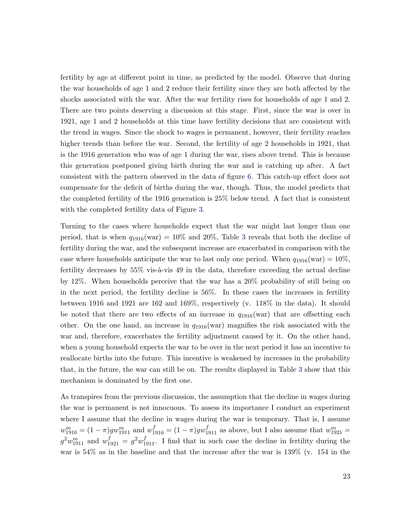fertility by age at different point in time, as predicted by the model. Observe that during the war households of age 1 and 2 reduce their fertility since they are both affected by the shocks associated with the war. After the war fertility rises for households of age 1 and 2. There are two points deserving a discussion at this stage. First, since the war is over in 1921, age 1 and 2 households at this time have fertility decisions that are consistent with the trend in wages. Since the shock to wages is permanent, however, their fertility reaches higher trends than before the war. Second, the fertility of age 2 households in 1921, that is the 1916 generation who was of age 1 during the war, rises above trend. This is because this generation postponed giving birth during the war and is catching up after. A fact consistent with the pattern observed in the data of figure 6. This catch-up effect does not compensate for the deficit of births during the war, though. Thus, the model predicts that the completed fertility of the 1916 generation is 25% below trend. A fact that is consistent with the completed fertility data of Figure 3.

Turning to the cases where households expect that the war might last longer than one period, that is when  $q_{1916}(\text{war}) = 10\%$  and 20%. Table 3 reveals that both the decline of fertility during the war, and the subsequent increase are exacerbated in comparison with the case where households anticipate the war to last only one period. When  $q_{1916}(\text{war}) = 10\%$ , fertility decreases by  $55\%$  vis-à-vis 49 in the data, therefore exceeding the actual decline by 12%. When households perceive that the war has a 20% probability of still being on in the next period, the fertility decline is 56%. In these cases the increases in fertility between 1916 and 1921 are 162 and 169%, respectively (v. 118% in the data). It should be noted that there are two effects of an increase in  $q_{1916}$  (war) that are offsetting each other. On the one hand, an increase in  $q_{1916}$ (war) magnifies the risk associated with the war and, therefore, exacerbates the fertility adjustment caused by it. On the other hand, when a young household expects the war to be over in the next period it has an incentive to reallocate births into the future. This incentive is weakened by increases in the probability that, in the future, the war can still be on. The results displayed in Table 3 show that this mechanism is dominated by the first one.

As transpires from the previous discussion, the assumption that the decline in wages during the war is permanent is not innocuous. To assess its importance I conduct an experiment where I assume that the decline in wages during the war is temporary. That is, I assume  $w_{1916}^m = (1 - \pi)gw_{1911}^m$  and  $w_{1916}^f = (1 - \pi)gw_{1911}^f$  as above, but I also assume that  $w_{1921}^m =$  $g^2w_{1911}^m$  and  $w_{1921}^f = g^2w_{1911}^f$ . I find that in such case the decline in fertility during the war is 54% as in the baseline and that the increase after the war is 139% (v. 154 in the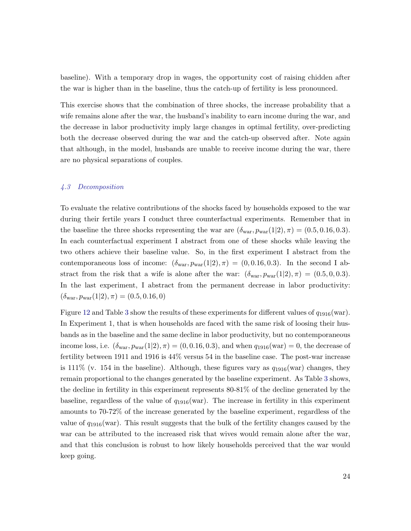baseline). With a temporary drop in wages, the opportunity cost of raising chidden after the war is higher than in the baseline, thus the catch-up of fertility is less pronounced.

This exercise shows that the combination of three shocks, the increase probability that a wife remains alone after the war, the husband's inability to earn income during the war, and the decrease in labor productivity imply large changes in optimal fertility, over-predicting both the decrease observed during the war and the catch-up observed after. Note again that although, in the model, husbands are unable to receive income during the war, there are no physical separations of couples.

#### *4.3 Decomposition*

To evaluate the relative contributions of the shocks faced by households exposed to the war during their fertile years I conduct three counterfactual experiments. Remember that in the baseline the three shocks representing the war are  $(\delta_{\text{war}}, p_{\text{war}}(1|2), \pi) = (0.5, 0.16, 0.3).$ In each counterfactual experiment I abstract from one of these shocks while leaving the two others achieve their baseline value. So, in the first experiment I abstract from the contemporaneous loss of income:  $(\delta_{\text{war}}, p_{\text{war}}(1|2), \pi) = (0, 0.16, 0.3)$ . In the second I abstract from the risk that a wife is alone after the war:  $(\delta_{\text{war}}, p_{\text{war}}(1|2), \pi) = (0.5, 0, 0.3)$ . In the last experiment, I abstract from the permanent decrease in labor productivity:  $(\delta_{\text{war}}, p_{\text{war}}(1|2), \pi) = (0.5, 0.16, 0)$ 

Figure 12 and Table 3 show the results of these experiments for different values of  $q_{1916}(\text{war})$ . In Experiment 1, that is when households are faced with the same risk of loosing their husbands as in the baseline and the same decline in labor productivity, but no contemporaneous income loss, i.e.  $(\delta_{\text{war}}, p_{\text{war}}(1|2), \pi) = (0, 0.16, 0.3)$ , and when  $q_{1916}(\text{war}) = 0$ , the decrease of fertility between 1911 and 1916 is 44% versus 54 in the baseline case. The post-war increase is 111% (v. 154 in the baseline). Although, these figures vary as  $q_{1916}$  (war) changes, they remain proportional to the changes generated by the baseline experiment. As Table 3 shows, the decline in fertility in this experiment represents 80-81% of the decline generated by the baseline, regardless of the value of  $q_{1916}(\text{war})$ . The increase in fertility in this experiment amounts to 70-72% of the increase generated by the baseline experiment, regardless of the value of  $q_{1916}(\text{war})$ . This result suggests that the bulk of the fertility changes caused by the war can be attributed to the increased risk that wives would remain alone after the war, and that this conclusion is robust to how likely households perceived that the war would keep going.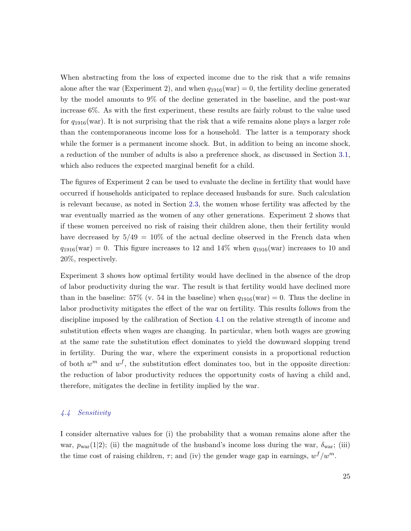When abstracting from the loss of expected income due to the risk that a wife remains alone after the war (Experiment 2), and when  $q_{1916}(\text{war}) = 0$ , the fertility decline generated by the model amounts to 9% of the decline generated in the baseline, and the post-war increase 6%. As with the first experiment, these results are fairly robust to the value used for  $q_{1916}$  (war). It is not surprising that the risk that a wife remains alone plays a larger role than the contemporaneous income loss for a household. The latter is a temporary shock while the former is a permanent income shock. But, in addition to being an income shock, a reduction of the number of adults is also a preference shock, as discussed in Section 3.1, which also reduces the expected marginal benefit for a child.

The figures of Experiment 2 can be used to evaluate the decline in fertility that would have occurred if households anticipated to replace deceased husbands for sure. Such calculation is relevant because, as noted in Section 2.3, the women whose fertility was affected by the war eventually married as the women of any other generations. Experiment 2 shows that if these women perceived no risk of raising their children alone, then their fertility would have decreased by  $5/49 = 10\%$  of the actual decline observed in the French data when  $q_{1916}(\text{war}) = 0$ . This figure increases to 12 and 14% when  $q_{1916}(\text{war})$  increases to 10 and 20%, respectively.

Experiment 3 shows how optimal fertility would have declined in the absence of the drop of labor productivity during the war. The result is that fertility would have declined more than in the baseline: 57% (v. 54 in the baseline) when  $q_{1916}(\text{war}) = 0$ . Thus the decline in labor productivity mitigates the effect of the war on fertility. This results follows from the discipline imposed by the calibration of Section 4.1 on the relative strength of income and substitution effects when wages are changing. In particular, when both wages are growing at the same rate the substitution effect dominates to yield the downward slopping trend in fertility. During the war, where the experiment consists in a proportional reduction of both  $w^m$  and  $w^f$ , the substitution effect dominates too, but in the opposite direction: the reduction of labor productivity reduces the opportunity costs of having a child and, therefore, mitigates the decline in fertility implied by the war.

#### *4.4 Sensitivity*

I consider alternative values for (i) the probability that a woman remains alone after the war,  $p_{\text{war}}(1|2)$ ; (ii) the magnitude of the husband's income loss during the war,  $\delta_{\text{war}}$ ; (iii) the time cost of raising children,  $\tau$ ; and (iv) the gender wage gap in earnings,  $w^f/w^m$ .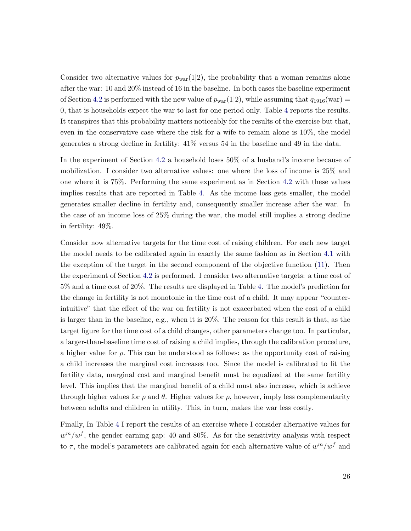Consider two alternative values for  $p_{\text{war}}(1|2)$ , the probability that a woman remains alone after the war: 10 and 20% instead of 16 in the baseline. In both cases the baseline experiment of Section 4.2 is performed with the new value of  $p_{\text{war}}(1|2)$ , while assuming that  $q_{1916}(\text{war})$  = 0, that is households expect the war to last for one period only. Table 4 reports the results. It transpires that this probability matters noticeably for the results of the exercise but that, even in the conservative case where the risk for a wife to remain alone is 10%, the model generates a strong decline in fertility: 41% versus 54 in the baseline and 49 in the data.

In the experiment of Section 4.2 a household loses 50% of a husband's income because of mobilization. I consider two alternative values: one where the loss of income is 25% and one where it is 75%. Performing the same experiment as in Section 4.2 with these values implies results that are reported in Table 4. As the income loss gets smaller, the model generates smaller decline in fertility and, consequently smaller increase after the war. In the case of an income loss of 25% during the war, the model still implies a strong decline in fertility: 49%.

Consider now alternative targets for the time cost of raising children. For each new target the model needs to be calibrated again in exactly the same fashion as in Section 4.1 with the exception of the target in the second component of the objective function (11). Then the experiment of Section 4.2 is performed. I consider two alternative targets: a time cost of 5% and a time cost of 20%. The results are displayed in Table 4. The model's prediction for the change in fertility is not monotonic in the time cost of a child. It may appear "counterintuitive" that the effect of the war on fertility is not exacerbated when the cost of a child is larger than in the baseline, e.g., when it is 20%. The reason for this result is that, as the target figure for the time cost of a child changes, other parameters change too. In particular, a larger-than-baseline time cost of raising a child implies, through the calibration procedure, a higher value for  $\rho$ . This can be understood as follows: as the opportunity cost of raising a child increases the marginal cost increases too. Since the model is calibrated to fit the fertility data, marginal cost and marginal benefit must be equalized at the same fertility level. This implies that the marginal benefit of a child must also increase, which is achieve through higher values for  $\rho$  and  $\theta$ . Higher values for  $\rho$ , however, imply less complementarity between adults and children in utility. This, in turn, makes the war less costly.

Finally, In Table 4 I report the results of an exercise where I consider alternative values for  $w^m/w^f$ , the gender earning gap: 40 and 80%. As for the sensitivity analysis with respect to  $\tau$ , the model's parameters are calibrated again for each alternative value of  $w^m/w^f$  and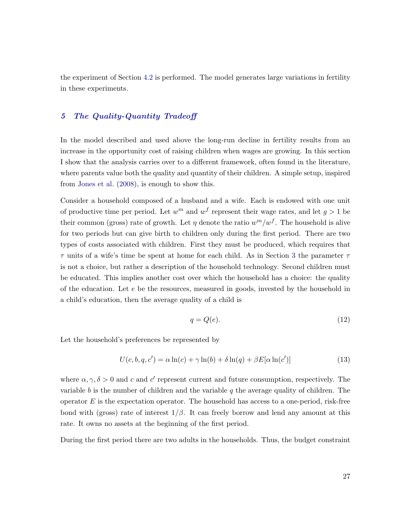the experiment of Section 4.2 is performed. The model generates large variations in fertility in these experiments.

#### 5 The Quality-Quantity Tradeoff

In the model described and used above the long-run decline in fertility results from an increase in the opportunity cost of raising children when wages are growing. In this section I show that the analysis carries over to a different framework, often found in the literature, where parents value both the quality and quantity of their children. A simple setup, inspired from Jones et al. (2008), is enough to show this.

Consider a household composed of a husband and a wife. Each is endowed with one unit of productive time per period. Let  $w^m$  and  $w^f$  represent their wage rates, and let  $g > 1$  be their common (gross) rate of growth. Let  $\eta$  denote the ratio  $w^m/w^f$ . The household is alive for two periods but can give birth to children only during the first period. There are two types of costs associated with children. First they must be produced, which requires that  $\tau$  units of a wife's time be spent at home for each child. As in Section 3 the parameter  $\tau$ is not a choice, but rather a description of the household technology. Second children must be educated. This implies another cost over which the household has a choice: the quality of the education. Let  $e$  be the resources, measured in goods, invested by the household in a child's education, then the average quality of a child is

$$
q = Q(e). \tag{12}
$$

Let the household's preferences be represented by

$$
U(c, b, q, c') = \alpha \ln(c) + \gamma \ln(b) + \delta \ln(q) + \beta E[\alpha \ln(c')]
$$
\n(13)

where  $\alpha, \gamma, \delta > 0$  and c and c' represent current and future consumption, respectively. The variable b is the number of children and the variable  $q$  the average quality of children. The operator  $E$  is the expectation operator. The household has access to a one-period, risk-free bond with (gross) rate of interest  $1/\beta$ . It can freely borrow and lend any amount at this rate. It owns no assets at the beginning of the first period.

During the first period there are two adults in the households. Thus, the budget constraint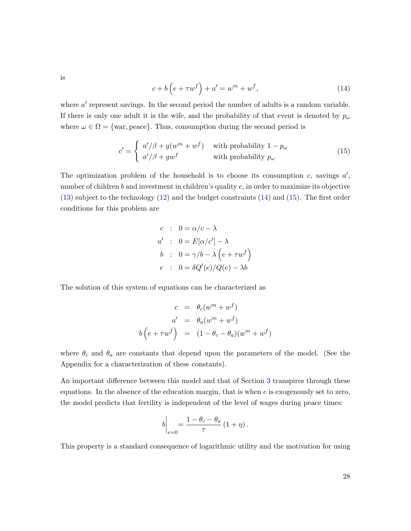is

$$
c + b\left(e + \tau w^f\right) + a' = w^m + w^f,\tag{14}
$$

where  $a'$  represent savings. In the second period the number of adults is a random variable. If there is only one adult it is the wife, and the probability of that event is denoted by  $p_{\omega}$ where  $\omega \in \Omega = \{\text{war}, \text{peace}\}\.$  Thus, consumption during the second period is

$$
c' = \begin{cases} a'/\beta + g(w^m + w^f) & \text{with probability } 1 - p_\omega \\ a'/\beta + gw^f & \text{with probability } p_\omega \end{cases}
$$
(15)

The optimization problem of the household is to choose its consumption  $c$ , savings  $a'$ , number of children b and investment in children's quality e, in order to maximize its objective (13) subject to the technology (12) and the budget constraints (14) and (15). The first order conditions for this problem are

$$
c : 0 = \alpha/c - \lambda
$$
  
\n
$$
a' : 0 = E[\alpha/c'] - \lambda
$$
  
\n
$$
b : 0 = \gamma/b - \lambda (e + \tau w^f)
$$
  
\n
$$
e : 0 = \delta Q'(e)/Q(e) - \lambda b
$$

The solution of this system of equations can be characterized as

$$
c = \theta_c(w^m + w^f)
$$
  
\n
$$
a' = \theta_a(w^m + w^f)
$$
  
\n
$$
b(e + \tau w^f) = (1 - \theta_c - \theta_a)(w^m + w^f)
$$

where  $\theta_c$  and  $\theta_a$  are constants that depend upon the parameters of the model. (See the Appendix for a characterization of these constants).

An important difference between this model and that of Section 3 transpires through these equations. In the absence of the education margin, that is when  $e$  is exogenously set to zero, the model predicts that fertility is independent of the level of wages during peace times:

$$
b\bigg|_{e=0} = \frac{1-\theta_c-\theta_a}{\tau} (1+\eta).
$$

This property is a standard consequence of logarithmic utility and the motivation for using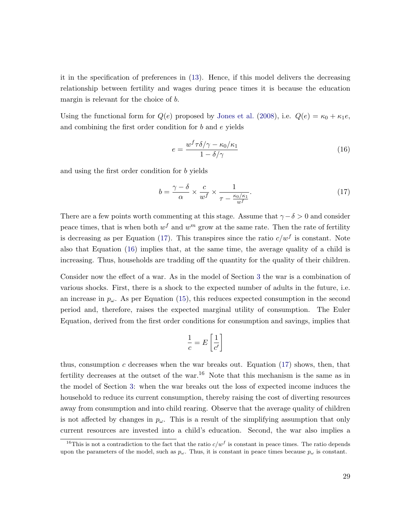it in the specification of preferences in (13). Hence, if this model delivers the decreasing relationship between fertility and wages during peace times it is because the education margin is relevant for the choice of b.

Using the functional form for  $Q(e)$  proposed by Jones et al. (2008), i.e.  $Q(e) = \kappa_0 + \kappa_1 e$ , and combining the first order condition for b and e yields

$$
e = \frac{w^f \tau \delta / \gamma - \kappa_0 / \kappa_1}{1 - \delta / \gamma} \tag{16}
$$

and using the first order condition for b yields

$$
b = \frac{\gamma - \delta}{\alpha} \times \frac{c}{w^f} \times \frac{1}{\tau - \frac{\kappa_0/\kappa_1}{w^f}}.
$$
\n(17)

There are a few points worth commenting at this stage. Assume that  $\gamma - \delta > 0$  and consider peace times, that is when both  $w<sup>f</sup>$  and  $w<sup>m</sup>$  grow at the same rate. Then the rate of fertility is decreasing as per Equation (17). This transpires since the ratio  $c/w<sup>f</sup>$  is constant. Note also that Equation (16) implies that, at the same time, the average quality of a child is increasing. Thus, households are tradding off the quantity for the quality of their children.

Consider now the effect of a war. As in the model of Section 3 the war is a combination of various shocks. First, there is a shock to the expected number of adults in the future, i.e. an increase in  $p_{\omega}$ . As per Equation (15), this reduces expected consumption in the second period and, therefore, raises the expected marginal utility of consumption. The Euler Equation, derived from the first order conditions for consumption and savings, implies that

$$
\frac{1}{c} = E\left[\frac{1}{c'}\right]
$$

thus, consumption  $c$  decreases when the war breaks out. Equation  $(17)$  shows, then, that fertility decreases at the outset of the war.<sup>16</sup> Note that this mechanism is the same as in the model of Section 3: when the war breaks out the loss of expected income induces the household to reduce its current consumption, thereby raising the cost of diverting resources away from consumption and into child rearing. Observe that the average quality of children is not affected by changes in  $p_{\omega}$ . This is a result of the simplifying assumption that only current resources are invested into a child's education. Second, the war also implies a

<sup>&</sup>lt;sup>16</sup>This is not a contradiction to the fact that the ratio  $c/w^f$  is constant in peace times. The ratio depends upon the parameters of the model, such as  $p_{\omega}$ . Thus, it is constant in peace times because  $p_{\omega}$  is constant.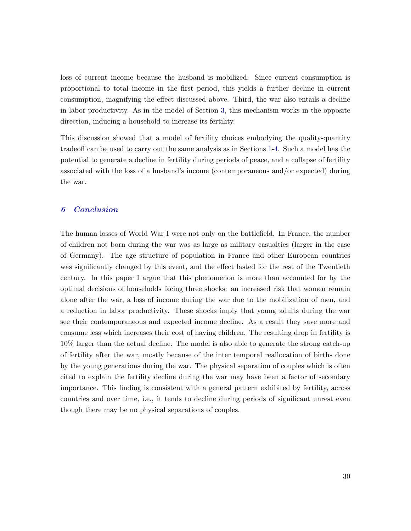loss of current income because the husband is mobilized. Since current consumption is proportional to total income in the first period, this yields a further decline in current consumption, magnifying the effect discussed above. Third, the war also entails a decline in labor productivity. As in the model of Section 3, this mechanism works in the opposite direction, inducing a household to increase its fertility.

This discussion showed that a model of fertility choices embodying the quality-quantity tradeoff can be used to carry out the same analysis as in Sections 1-4. Such a model has the potential to generate a decline in fertility during periods of peace, and a collapse of fertility associated with the loss of a husband's income (contemporaneous and/or expected) during the war.

#### 6 Conclusion

The human losses of World War I were not only on the battlefield. In France, the number of children not born during the war was as large as military casualties (larger in the case of Germany). The age structure of population in France and other European countries was significantly changed by this event, and the effect lasted for the rest of the Twentieth century. In this paper I argue that this phenomenon is more than accounted for by the optimal decisions of households facing three shocks: an increased risk that women remain alone after the war, a loss of income during the war due to the mobilization of men, and a reduction in labor productivity. These shocks imply that young adults during the war see their contemporaneous and expected income decline. As a result they save more and consume less which increases their cost of having children. The resulting drop in fertility is 10% larger than the actual decline. The model is also able to generate the strong catch-up of fertility after the war, mostly because of the inter temporal reallocation of births done by the young generations during the war. The physical separation of couples which is often cited to explain the fertility decline during the war may have been a factor of secondary importance. This finding is consistent with a general pattern exhibited by fertility, across countries and over time, i.e., it tends to decline during periods of significant unrest even though there may be no physical separations of couples.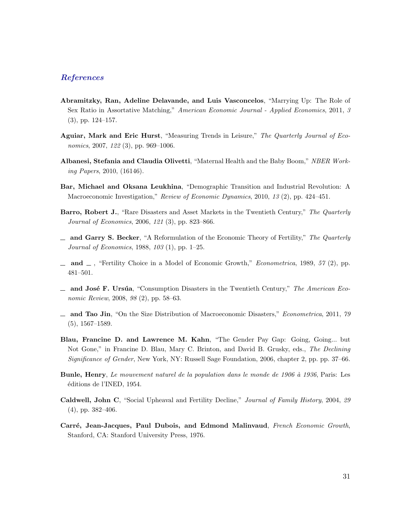#### References

- Abramitzky, Ran, Adeline Delavande, and Luis Vasconcelos, "Marrying Up: The Role of Sex Ratio in Assortative Matching," *American Economic Journal - Applied Economics*, 2011, *3* (3), pp. 124–157.
- Aguiar, Mark and Eric Hurst, "Measuring Trends in Leisure," *The Quarterly Journal of Economics*, 2007, *122* (3), pp. 969–1006.
- Albanesi, Stefania and Claudia Olivetti, "Maternal Health and the Baby Boom," *NBER Working Papers*, 2010, (16146).
- Bar, Michael and Oksana Leukhina, "Demographic Transition and Industrial Revolution: A Macroeconomic Investigation," *Review of Economic Dynamics*, 2010, *13* (2), pp. 424–451.
- Barro, Robert J., "Rare Disasters and Asset Markets in the Twentieth Century," *The Quarterly Journal of Economics*, 2006, *121* (3), pp. 823–866.
- and Garry S. Becker, "A Reformulation of the Economic Theory of Fertility," *The Quarterly Journal of Economics*, 1988, *103* (1), pp. 1–25.
- $\Box$  and  $\Box$ , "Fertility Choice in a Model of Economic Growth," *Econometrica*, 1989, 57 (2), pp. 481–501.
- $\equiv$  and José F. Ursúa, "Consumption Disasters in the Twentieth Century," *The American Economic Review*, 2008, *98* (2), pp. 58–63.
- and Tao Jin, "On the Size Distribution of Macroeconomic Disasters," *Econometrica*, 2011, *79* (5), 1567–1589.
- Blau, Francine D. and Lawrence M. Kahn, "The Gender Pay Gap: Going, Going... but Not Gone," in Francine D. Blau, Mary C. Brinton, and David B. Grusky, eds., *The Declining Significance of Gender*, New York, NY: Russell Sage Foundation, 2006, chapter 2, pp. pp. 37–66.
- Bunle, Henry, *Le mouvement naturel de la population dans le monde de 1906 `a 1936*, Paris: Les éditions de l'INED, 1954.
- Caldwell, John C, "Social Upheaval and Fertility Decline," *Journal of Family History*, 2004, *29* (4), pp. 382–406.
- Carr´e, Jean-Jacques, Paul Dubois, and Edmond Malinvaud, *French Economic Growth*, Stanford, CA: Stanford University Press, 1976.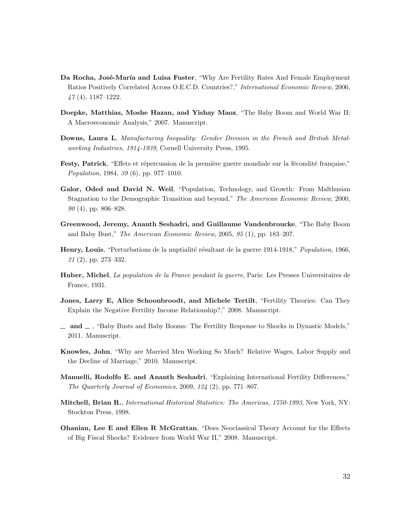- Da Rocha, José-María and Luisa Fuster, "Why Are Fertility Rates And Female Employment Ratios Positively Correlated Across O.E.C.D. Countries?," *International Economic Review*, 2006, *47* (4), 1187–1222.
- Doepke, Matthias, Moshe Hazan, and Yishay Maoz, "The Baby Boom and World War II: A Macroeconomic Analysis," 2007. Manuscript.
- Downs, Laura L, *Manufacturing Inequality: Gender Division in the French and British Metalworking Industries, 1914-1939*, Cornell University Press, 1995.
- Festy, Patrick, "Effets et répercussion de la première guerre mondiale sur la fécondité française," *Population*, 1984, *39* (6), pp. 977–1010.
- Galor, Oded and David N. Weil, "Population, Technology, and Growth: From Malthusian Stagnation to the Demographic Transition and beyond," *The American Economic Review*, 2000, *90* (4), pp. 806–828.
- Greenwood, Jeremy, Ananth Seshadri, and Guillaume Vandenbroucke, "The Baby Boom and Baby Bust," *The American Economic Review*, 2005, *95* (1), pp. 183–207.
- Henry, Louis, "Perturbations de la nuptialité résultant de la guerre 1914-1918," *Population*, 1966, *21* (2), pp. 273–332.
- Huber, Michel, *La population de la France pendant la guerre*, Paris: Les Presses Universitaires de France, 1931.
- Jones, Larry E, Alice Schoonbroodt, and Michele Tertilt, "Fertility Theories: Can They Explain the Negative Fertility Income Relationship?," 2008. Manuscript.
- $\Box$  and  $\Box$ , "Baby Busts and Baby Booms: The Fertility Response to Shocks in Dynastic Models," 2011. Manuscript.
- Knowles, John, "Why are Married Men Working So Much? Relative Wages, Labor Supply and the Decline of Marriage," 2010. Manuscript.
- Manuelli, Rodolfo E. and Ananth Seshadri, "Explaining International Fertility Differences," *The Quarterly Journal of Economics*, 2009, *124* (2), pp. 771–807.
- Mitchell, Brian R., *International Historical Statistics: The Americas, 1750-1993*, New York, NY: Stockton Press, 1998.
- Ohanian, Lee E and Ellen R McGrattan, "Does Neoclassical Theory Account for the Effects of Big Fiscal Shocks? Evidence from World War II," 2008. Manuscript.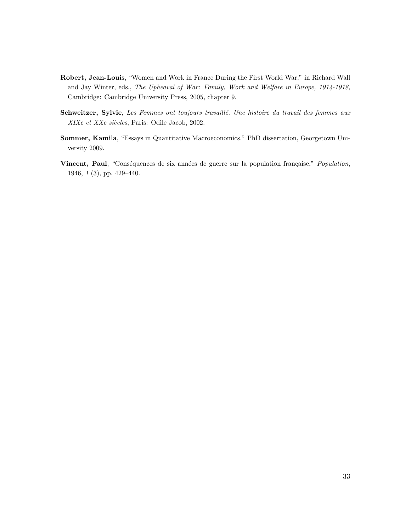- Robert, Jean-Louis, "Women and Work in France During the First World War," in Richard Wall and Jay Winter, eds., *The Upheaval of War: Family, Work and Welfare in Europe, 1914-1918*, Cambridge: Cambridge University Press, 2005, chapter 9.
- Schweitzer, Sylvie, *Les Femmes ont toujours travaill´e. Une histoire du travail des femmes aux XIXe et XXe siècles*, Paris: Odile Jacob, 2002.
- Sommer, Kamila, "Essays in Quantitative Macroeconomics." PhD dissertation, Georgetown University 2009.
- Vincent, Paul, "Conséquences de six années de guerre sur la population française," *Population*, 1946, *1* (3), pp. 429–440.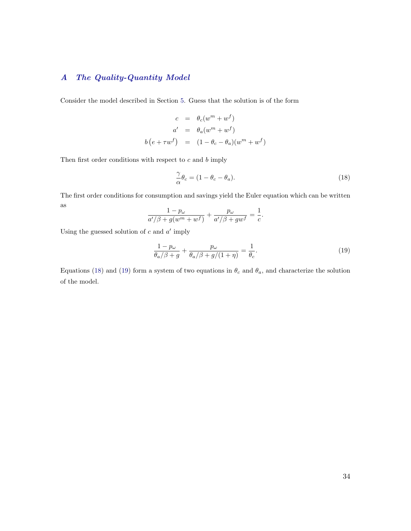### A The Quality-Quantity Model

Consider the model described in Section 5. Guess that the solution is of the form

$$
c = \theta_c(w^m + w^f)
$$
  
\n
$$
a' = \theta_a(w^m + w^f)
$$
  
\n
$$
b(e + \tau w^f) = (1 - \theta_c - \theta_a)(w^m + w^f)
$$

Then first order conditions with respect to  $c$  and  $b$  imply

$$
\frac{\gamma}{\alpha}\theta_c = (1 - \theta_c - \theta_a). \tag{18}
$$

The first order conditions for consumption and savings yield the Euler equation which can be written as

$$
\frac{1-p_{\omega}}{a'/\beta + g(w^m + w^f)} + \frac{p_{\omega}}{a'/\beta + gw^f} = \frac{1}{c}.
$$

Using the guessed solution of  $c$  and  $a'$  imply

$$
\frac{1-p_{\omega}}{\theta_a/\beta+g} + \frac{p_{\omega}}{\theta_a/\beta+g/(1+\eta)} = \frac{1}{\theta_c}.
$$
\n(19)

Equations (18) and (19) form a system of two equations in  $\theta_c$  and  $\theta_a$ , and characterize the solution of the model.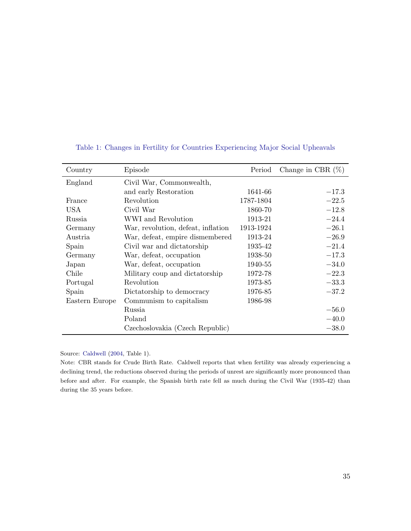| Country        | Episode                            | Period    | Change in CBR $(\%)$ |
|----------------|------------------------------------|-----------|----------------------|
| England        | Civil War, Commonwealth,           |           |                      |
|                | and early Restoration              | 1641-66   | $-17.3$              |
| France         | Revolution                         | 1787-1804 | $-22.5$              |
| USA            | Civil War                          | 1860-70   | $-12.8$              |
| Russia         | WWI and Revolution                 | 1913-21   | $-24.4$              |
| Germany        | War, revolution, defeat, inflation | 1913-1924 | $-26.1$              |
| Austria        | War, defeat, empire dismembered    | 1913-24   | $-26.9$              |
| Spain          | Civil war and dictatorship         | 1935-42   | $-21.4$              |
| Germany        | War, defeat, occupation            | 1938-50   | $-17.3$              |
| Japan          | War, defeat, occupation            | 1940-55   | $-34.0$              |
| Chile          | Military coup and dictatorship     | 1972-78   | $-22.3$              |
| Portugal       | Revolution                         | 1973-85   | $-33.3$              |
| Spain          | Dictatorship to democracy          | 1976-85   | $-37.2$              |
| Eastern Europe | Communism to capitalism            | 1986-98   |                      |
|                | Russia                             |           | $-56.0$              |
|                | Poland                             |           | $-40.0$              |
|                | Czechoslovakia (Czech Republic)    |           | $-38.0$              |

#### Table 1: Changes in Fertility for Countries Experiencing Major Social Upheavals

Source: Caldwell (2004, Table 1).

Note: CBR stands for Crude Birth Rate. Caldwell reports that when fertility was already experiencing a declining trend, the reductions observed during the periods of unrest are significantly more pronounced than before and after. For example, the Spanish birth rate fell as much during the Civil War (1935-42) than during the 35 years before.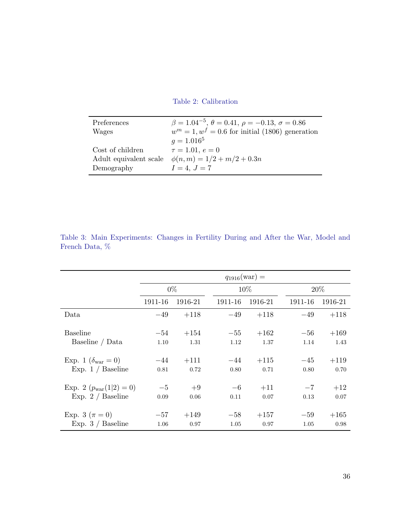Table 2: Calibration

| Preferences            | $\beta = 1.04^{-5}, \theta = 0.41, \rho = -0.13, \sigma = 0.86$ |
|------------------------|-----------------------------------------------------------------|
| Wages                  | $w^m = 1, w^f = 0.6$ for initial (1806) generation              |
|                        | $q = 1.016^5$                                                   |
| Cost of children       | $\tau = 1.01, e = 0$                                            |
| Adult equivalent scale | $\phi(n,m) = 1/2 + m/2 + 0.3n$                                  |
| Demography             | $I = 4, J = 7$                                                  |

|                                      | $q_{1916}(\text{war}) =$ |         |         |         |         |         |  |
|--------------------------------------|--------------------------|---------|---------|---------|---------|---------|--|
|                                      | $0\%$                    |         |         | 10\%    |         | 20\%    |  |
|                                      | 1911-16                  | 1916-21 | 1911-16 | 1916-21 | 1911-16 | 1916-21 |  |
| Data                                 | $-49$                    | $+118$  | $-49$   | $+118$  | $-49$   | $+118$  |  |
| <b>Baseline</b>                      | $-54$                    | $+154$  | $-55$   | $+162$  | $-56$   | $+169$  |  |
| Baseline / Data                      | 1.10                     | 1.31    | 1.12    | 1.37    | 1.14    | 1.43    |  |
| Exp. 1 ( $\delta_{\text{war}} = 0$ ) | $-44$                    | $+111$  | $-44$   | $+115$  | $-45$   | $+119$  |  |
| Exp. $1 /$ Baseline                  | 0.81                     | 0.72    | 0.80    | 0.71    | 0.80    | 0.70    |  |
| Exp. 2 $(p_{\text{war}}(1 2) = 0)$   | $-5$                     | $+9$    | $-6$    | $+11$   | $-7$    | $+12$   |  |
| Exp. $2 /$ Baseline                  | 0.09                     | 0.06    | 0.11    | 0.07    | 0.13    | 0.07    |  |
| Exp. 3 ( $\pi = 0$ )                 | $-57$                    | $+149$  | $-58$   | $+157$  | $-59$   | $+165$  |  |
| Exp. $3 /$ Baseline                  | 1.06                     | 0.97    | 1.05    | 0.97    | 1.05    | 0.98    |  |

Table 3: Main Experiments: Changes in Fertility During and After the War, Model and French Data, %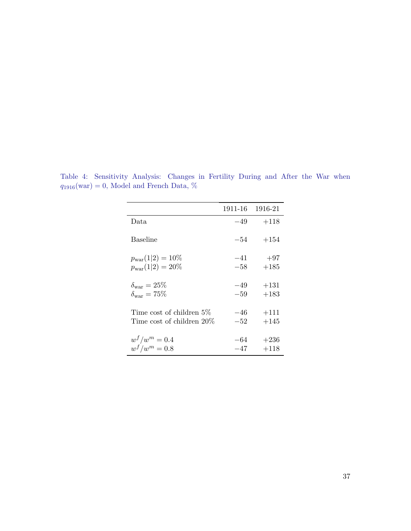|                              |       | 1911-16 1916-21 |
|------------------------------|-------|-----------------|
| Data                         | $-49$ | $+118$          |
| <b>Baseline</b>              | $-54$ | $+154$          |
| $p_{\rm war}(1 2)=10\%$      | $-41$ | $+97$           |
| $p_{\rm war}(1 2)=20\%$      | $-58$ | $+185$          |
| $\delta_{\rm war}=25\%$      | $-49$ | $+131$          |
| $\delta_{\text{war}} = 75\%$ | $-59$ | $+183$          |
| Time cost of children 5\%    | $-46$ | $+111$          |
| Time cost of children 20%    | $-52$ | $+145$          |
| $w^{f}/w^{m}=0.4$            | -64   | $+236$          |
| $w^f/w^m=0.8$                | $-47$ | $+118$          |

Table 4: Sensitivity Analysis: Changes in Fertility During and After the War when  $q_{1916}(\text{war}) = 0$ , Model and French Data, %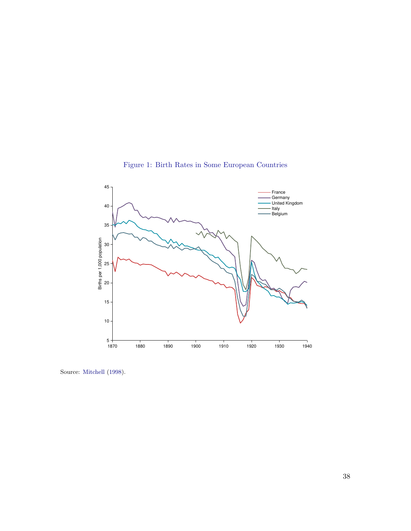

Figure 1: Birth Rates in Some European Countries

Source: Mitchell (1998).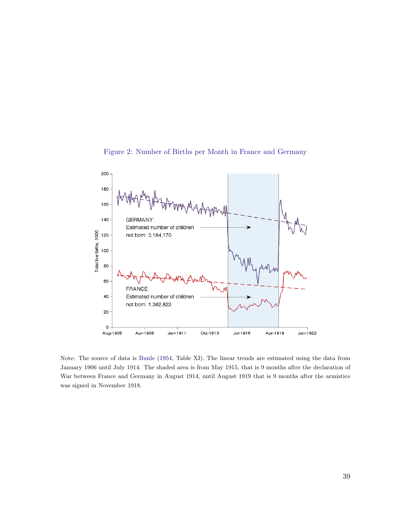



Note: The source of data is Bunle (1954, Table XI). The linear trends are estimated using the data from January 1906 until July 1914. The shaded area is from May 1915, that is 9 months after the declaration of War between France and Germany in August 1914, until August 1919 that is 9 months after the armistice was signed in November 1918.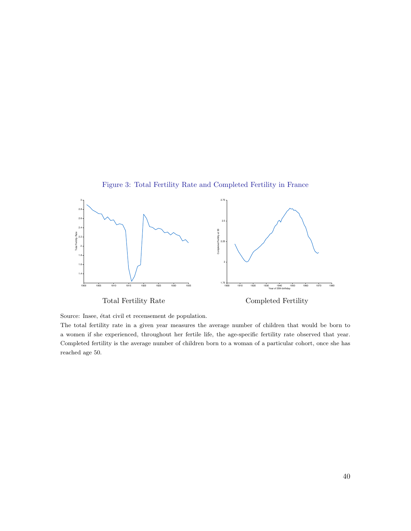

Figure 3: Total Fertility Rate and Completed Fertility in France

Source: Insee, état civil et recensement de population.

The total fertility rate in a given year measures the average number of children that would be born to a women if she experienced, throughout her fertile life, the age-specific fertility rate observed that year. Completed fertility is the average number of children born to a woman of a particular cohort, once she has reached age 50.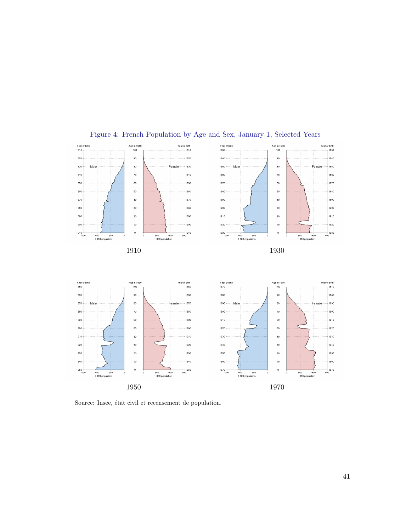

## Figure 4: French Population by Age and Sex, January 1, Selected Years

 $^{40}$  $^{40}$  $_{\rm 20}$  $\overline{20}$  $\frac{1}{10}$  $\frac{1}{000}$  1950 <br> $000$  $\overline{0}$  $\overline{0}$  $\frac{1}{\cos \theta}$ 1970 400 200<br>1,000 population 400 200<br>1,000 population 200 400<br>1,000 population 200 400<br>1,000 population 1970

Source: Insee, état civil et recensement de population.  $\,$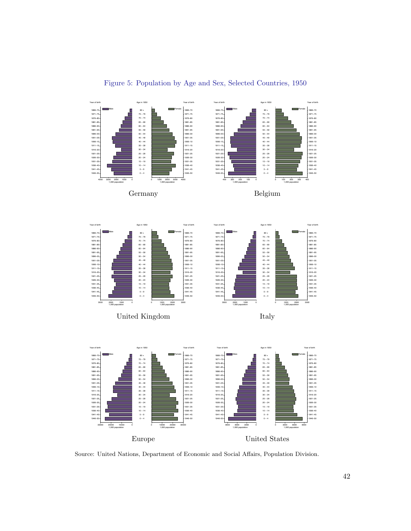

Source: United Nations, Department of Economic and Social Affairs, Population Division.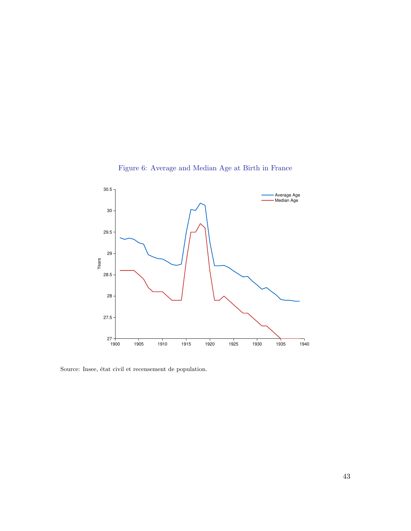

Figure 6: Average and Median Age at Birth in France

Source: Insee, état civil et recensement de population.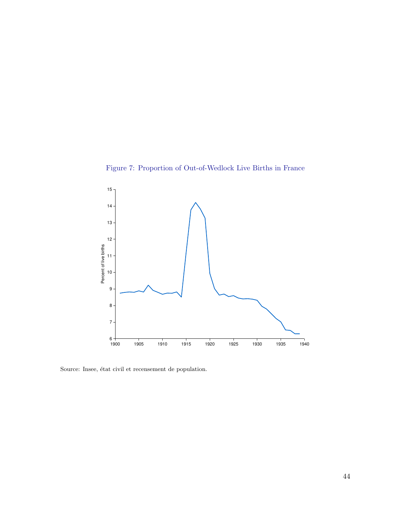



Source: Insee, état civil et recensement de population.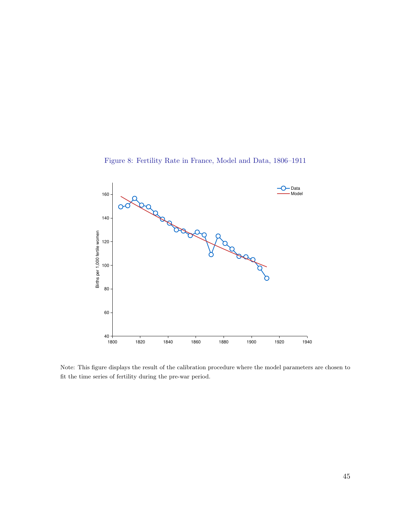



Note: This figure displays the result of the calibration procedure where the model parameters are chosen to fit the time series of fertility during the pre-war period.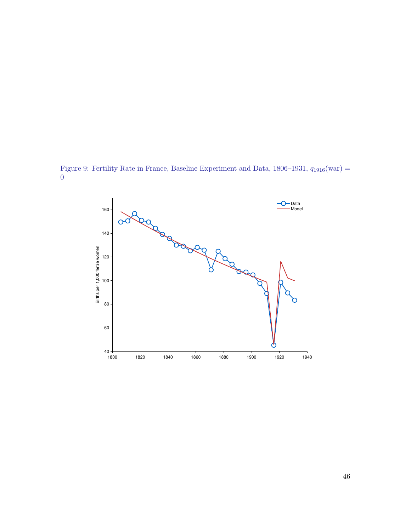Figure 9: Fertility Rate in France, Baseline Experiment and Data,  $1806-1931$ ,  $q_{1916}(\text{war}) =$ 

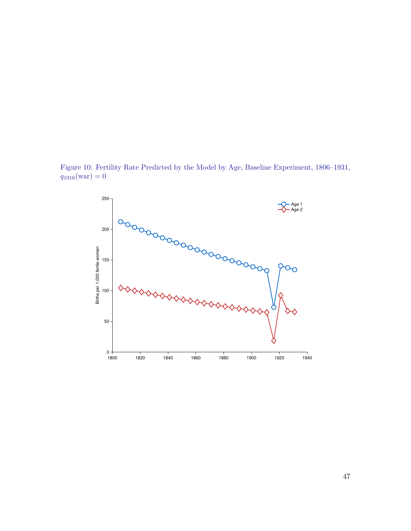Figure 10: Fertility Rate Predicted by the Model by Age, Baseline Experiment, 1806–1931,  $q_{1916}(\text{war}) = 0$ 

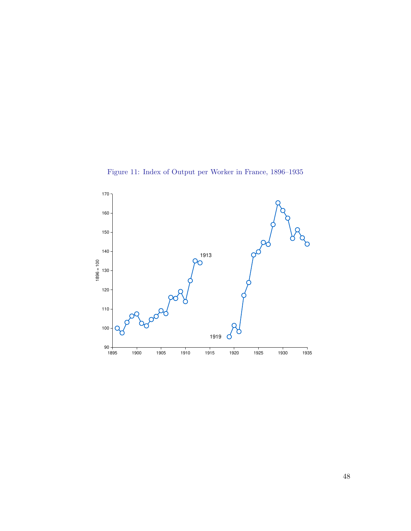